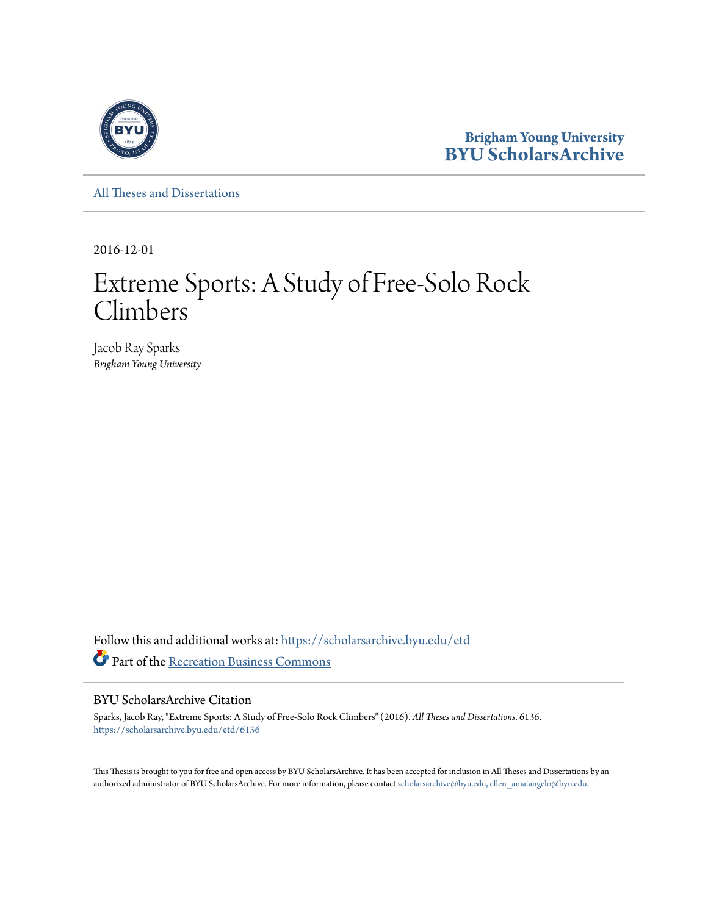

**Brigham Young University [BYU ScholarsArchive](https://scholarsarchive.byu.edu?utm_source=scholarsarchive.byu.edu%2Fetd%2F6136&utm_medium=PDF&utm_campaign=PDFCoverPages)**

[All Theses and Dissertations](https://scholarsarchive.byu.edu/etd?utm_source=scholarsarchive.byu.edu%2Fetd%2F6136&utm_medium=PDF&utm_campaign=PDFCoverPages)

2016-12-01

# Extreme Sports: A Study of Free-Solo Rock Climbers

Jacob Ray Sparks *Brigham Young University*

Follow this and additional works at: [https://scholarsarchive.byu.edu/etd](https://scholarsarchive.byu.edu/etd?utm_source=scholarsarchive.byu.edu%2Fetd%2F6136&utm_medium=PDF&utm_campaign=PDFCoverPages) Part of the [Recreation Business Commons](http://network.bepress.com/hgg/discipline/1083?utm_source=scholarsarchive.byu.edu%2Fetd%2F6136&utm_medium=PDF&utm_campaign=PDFCoverPages)

## BYU ScholarsArchive Citation

Sparks, Jacob Ray, "Extreme Sports: A Study of Free-Solo Rock Climbers" (2016). *All Theses and Dissertations*. 6136. [https://scholarsarchive.byu.edu/etd/6136](https://scholarsarchive.byu.edu/etd/6136?utm_source=scholarsarchive.byu.edu%2Fetd%2F6136&utm_medium=PDF&utm_campaign=PDFCoverPages)

This Thesis is brought to you for free and open access by BYU ScholarsArchive. It has been accepted for inclusion in All Theses and Dissertations by an authorized administrator of BYU ScholarsArchive. For more information, please contact [scholarsarchive@byu.edu, ellen\\_amatangelo@byu.edu.](mailto:scholarsarchive@byu.edu,%20ellen_amatangelo@byu.edu)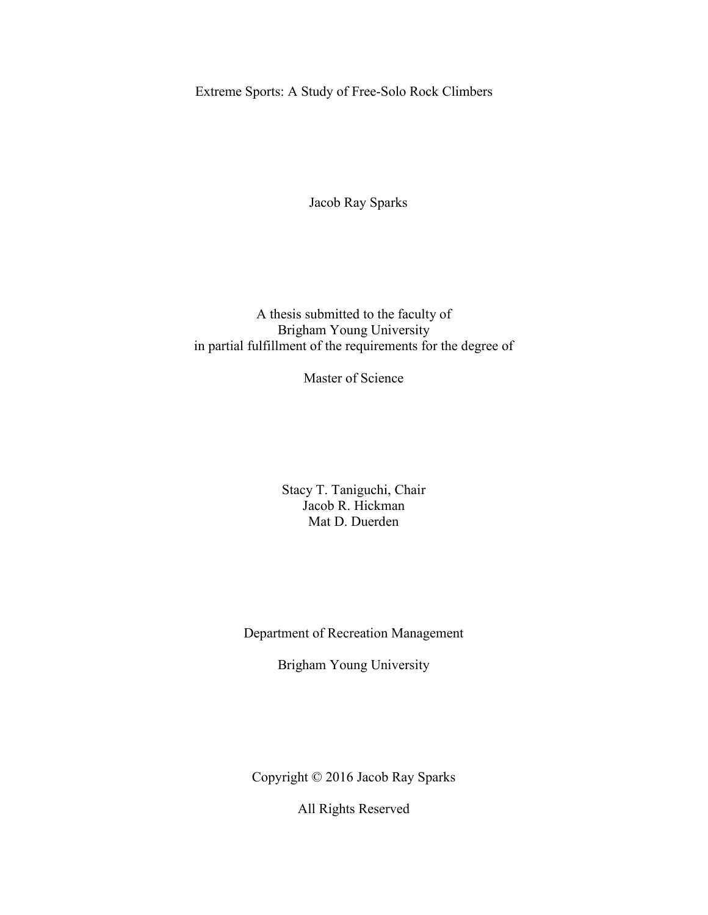Extreme Sports: A Study of Free-Solo Rock Climbers

Jacob Ray Sparks

A thesis submitted to the faculty of Brigham Young University in partial fulfillment of the requirements for the degree of

Master of Science

Stacy T. Taniguchi, Chair Jacob R. Hickman Mat D. Duerden

Department of Recreation Management

Brigham Young University

Copyright © 2016 Jacob Ray Sparks

All Rights Reserved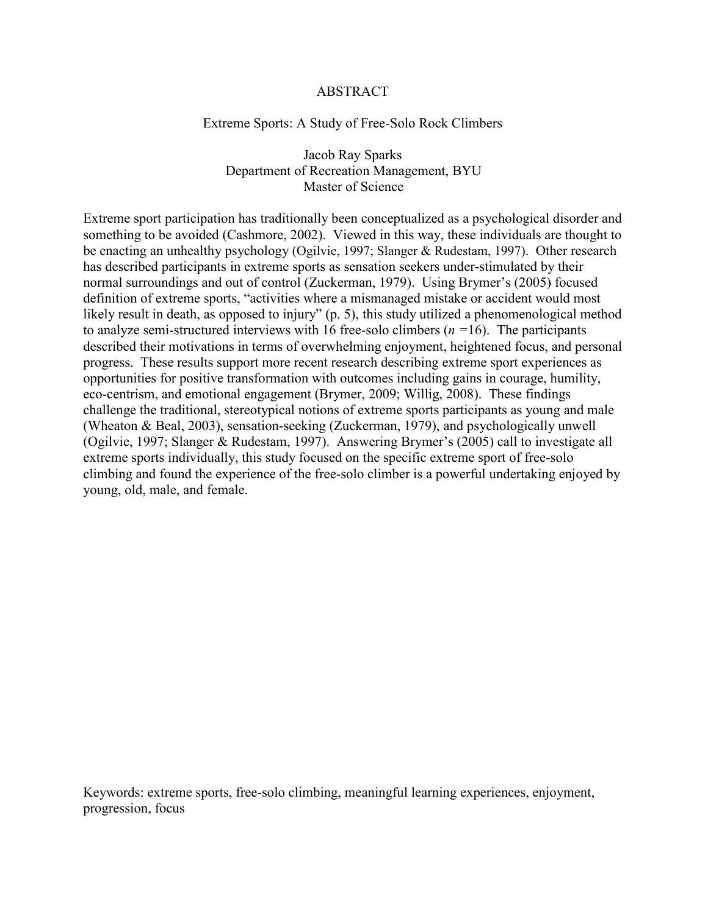# ABSTRACT

## Extreme Sports: A Study of Free-Solo Rock Climbers

# Jacob Ray Sparks Department of Recreation Management, BYU Master of Science

Extreme sport participation has traditionally been conceptualized as a psychological disorder and something to be avoided (Cashmore, 2002). Viewed in this way, these individuals are thought to be enacting an unhealthy psychology (Ogilvie, 1997; Slanger & Rudestam, 1997). Other research has described participants in extreme sports as sensation seekers under-stimulated by their normal surroundings and out of control (Zuckerman, 1979). Using Brymer's (2005) focused definition of extreme sports, "activities where a mismanaged mistake or accident would most likely result in death, as opposed to injury" (p. 5), this study utilized a phenomenological method to analyze semi-structured interviews with 16 free-solo climbers (*n =*16). The participants described their motivations in terms of overwhelming enjoyment, heightened focus, and personal progress. These results support more recent research describing extreme sport experiences as opportunities for positive transformation with outcomes including gains in courage, humility, eco-centrism, and emotional engagement (Brymer, 2009; Willig, 2008). These findings challenge the traditional, stereotypical notions of extreme sports participants as young and male (Wheaton & Beal, 2003), sensation-seeking (Zuckerman, 1979), and psychologically unwell (Ogilvie, 1997; Slanger & Rudestam, 1997). Answering Brymer's (2005) call to investigate all extreme sports individually, this study focused on the specific extreme sport of free-solo climbing and found the experience of the free-solo climber is a powerful undertaking enjoyed by young, old, male, and female.

Keywords: extreme sports, free-solo climbing, meaningful learning experiences, enjoyment, progression, focus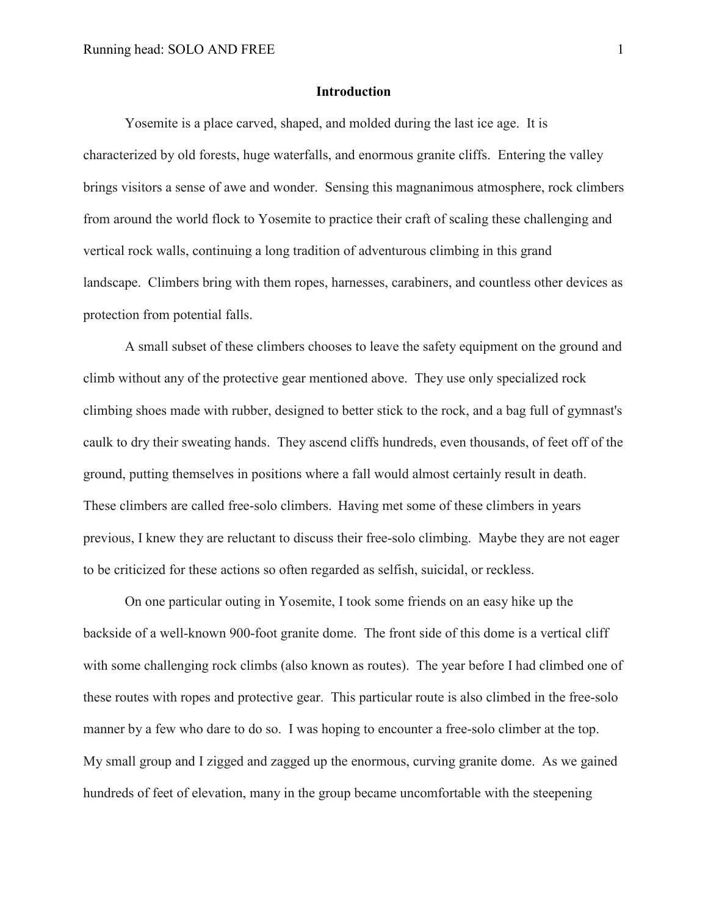## **Introduction**

Yosemite is a place carved, shaped, and molded during the last ice age. It is characterized by old forests, huge waterfalls, and enormous granite cliffs. Entering the valley brings visitors a sense of awe and wonder. Sensing this magnanimous atmosphere, rock climbers from around the world flock to Yosemite to practice their craft of scaling these challenging and vertical rock walls, continuing a long tradition of adventurous climbing in this grand landscape. Climbers bring with them ropes, harnesses, carabiners, and countless other devices as protection from potential falls.

A small subset of these climbers chooses to leave the safety equipment on the ground and climb without any of the protective gear mentioned above. They use only specialized rock climbing shoes made with rubber, designed to better stick to the rock, and a bag full of gymnast's caulk to dry their sweating hands. They ascend cliffs hundreds, even thousands, of feet off of the ground, putting themselves in positions where a fall would almost certainly result in death. These climbers are called free-solo climbers. Having met some of these climbers in years previous, I knew they are reluctant to discuss their free-solo climbing. Maybe they are not eager to be criticized for these actions so often regarded as selfish, suicidal, or reckless.

On one particular outing in Yosemite, I took some friends on an easy hike up the backside of a well-known 900-foot granite dome. The front side of this dome is a vertical cliff with some challenging rock climbs (also known as routes). The year before I had climbed one of these routes with ropes and protective gear. This particular route is also climbed in the free-solo manner by a few who dare to do so. I was hoping to encounter a free-solo climber at the top. My small group and I zigged and zagged up the enormous, curving granite dome. As we gained hundreds of feet of elevation, many in the group became uncomfortable with the steepening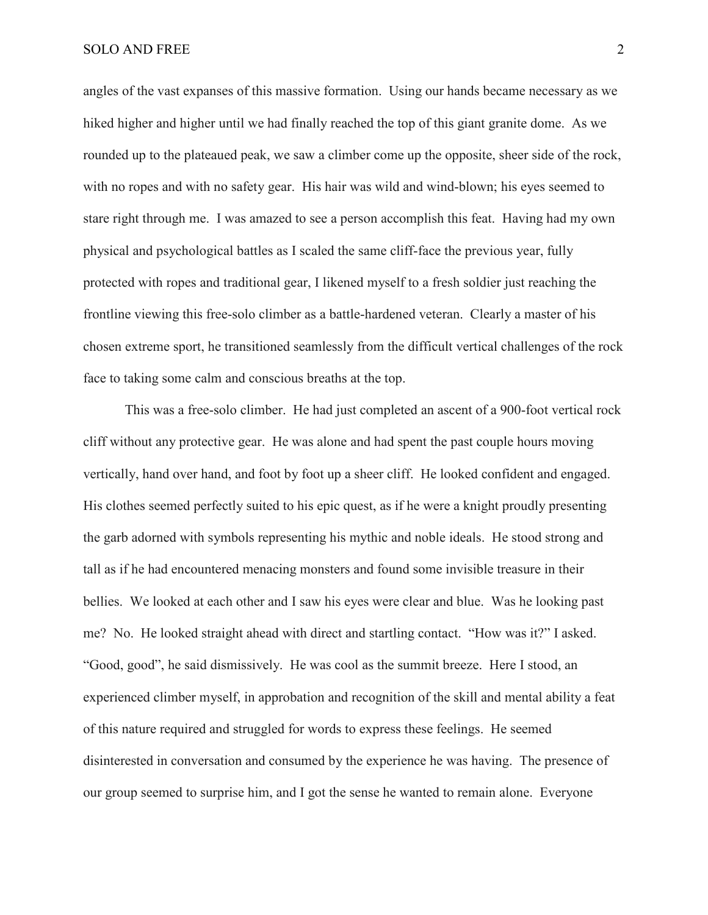angles of the vast expanses of this massive formation. Using our hands became necessary as we hiked higher and higher until we had finally reached the top of this giant granite dome. As we rounded up to the plateaued peak, we saw a climber come up the opposite, sheer side of the rock, with no ropes and with no safety gear. His hair was wild and wind-blown; his eyes seemed to stare right through me. I was amazed to see a person accomplish this feat. Having had my own physical and psychological battles as I scaled the same cliff-face the previous year, fully protected with ropes and traditional gear, I likened myself to a fresh soldier just reaching the frontline viewing this free-solo climber as a battle-hardened veteran. Clearly a master of his chosen extreme sport, he transitioned seamlessly from the difficult vertical challenges of the rock face to taking some calm and conscious breaths at the top.

This was a free-solo climber. He had just completed an ascent of a 900-foot vertical rock cliff without any protective gear. He was alone and had spent the past couple hours moving vertically, hand over hand, and foot by foot up a sheer cliff. He looked confident and engaged. His clothes seemed perfectly suited to his epic quest, as if he were a knight proudly presenting the garb adorned with symbols representing his mythic and noble ideals. He stood strong and tall as if he had encountered menacing monsters and found some invisible treasure in their bellies. We looked at each other and I saw his eyes were clear and blue. Was he looking past me? No. He looked straight ahead with direct and startling contact. "How was it?" I asked. "Good, good", he said dismissively. He was cool as the summit breeze. Here I stood, an experienced climber myself, in approbation and recognition of the skill and mental ability a feat of this nature required and struggled for words to express these feelings. He seemed disinterested in conversation and consumed by the experience he was having. The presence of our group seemed to surprise him, and I got the sense he wanted to remain alone. Everyone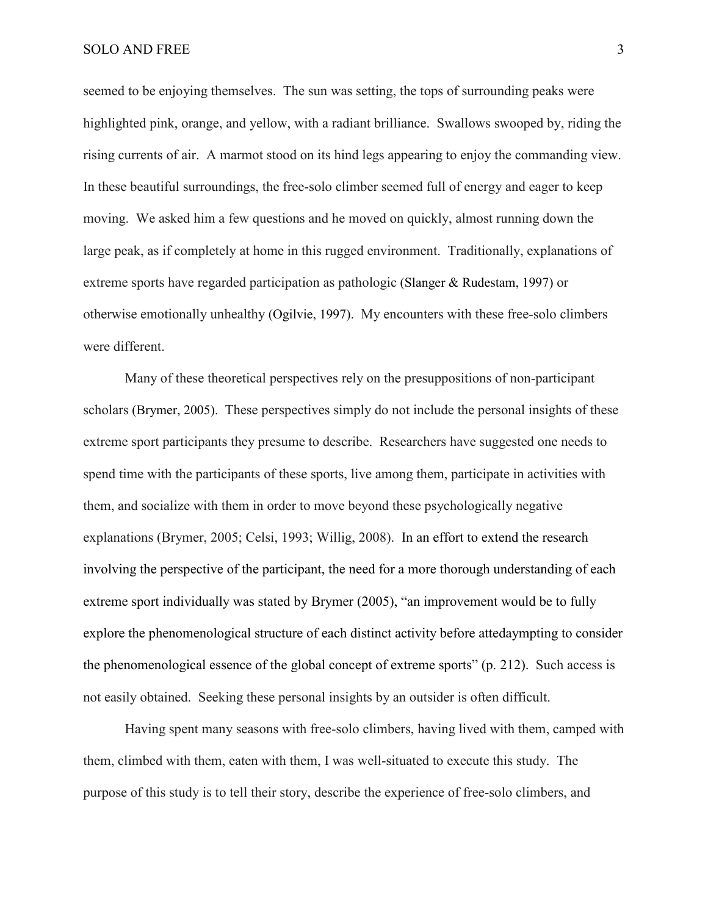seemed to be enjoying themselves. The sun was setting, the tops of surrounding peaks were highlighted pink, orange, and yellow, with a radiant brilliance. Swallows swooped by, riding the rising currents of air. A marmot stood on its hind legs appearing to enjoy the commanding view. In these beautiful surroundings, the free-solo climber seemed full of energy and eager to keep moving. We asked him a few questions and he moved on quickly, almost running down the large peak, as if completely at home in this rugged environment. Traditionally, explanations of extreme sports have regarded participation as pathologic (Slanger & Rudestam, 1997) or otherwise emotionally unhealthy (Ogilvie, 1997). My encounters with these free-solo climbers were different.

Many of these theoretical perspectives rely on the presuppositions of non-participant scholars (Brymer, 2005). These perspectives simply do not include the personal insights of these extreme sport participants they presume to describe. Researchers have suggested one needs to spend time with the participants of these sports, live among them, participate in activities with them, and socialize with them in order to move beyond these psychologically negative explanations (Brymer, 2005; Celsi, 1993; Willig, 2008). In an effort to extend the research involving the perspective of the participant, the need for a more thorough understanding of each extreme sport individually was stated by Brymer (2005), "an improvement would be to fully explore the phenomenological structure of each distinct activity before attedaympting to consider the phenomenological essence of the global concept of extreme sports" (p. 212). Such access is not easily obtained. Seeking these personal insights by an outsider is often difficult.

Having spent many seasons with free-solo climbers, having lived with them, camped with them, climbed with them, eaten with them, I was well-situated to execute this study. The purpose of this study is to tell their story, describe the experience of free-solo climbers, and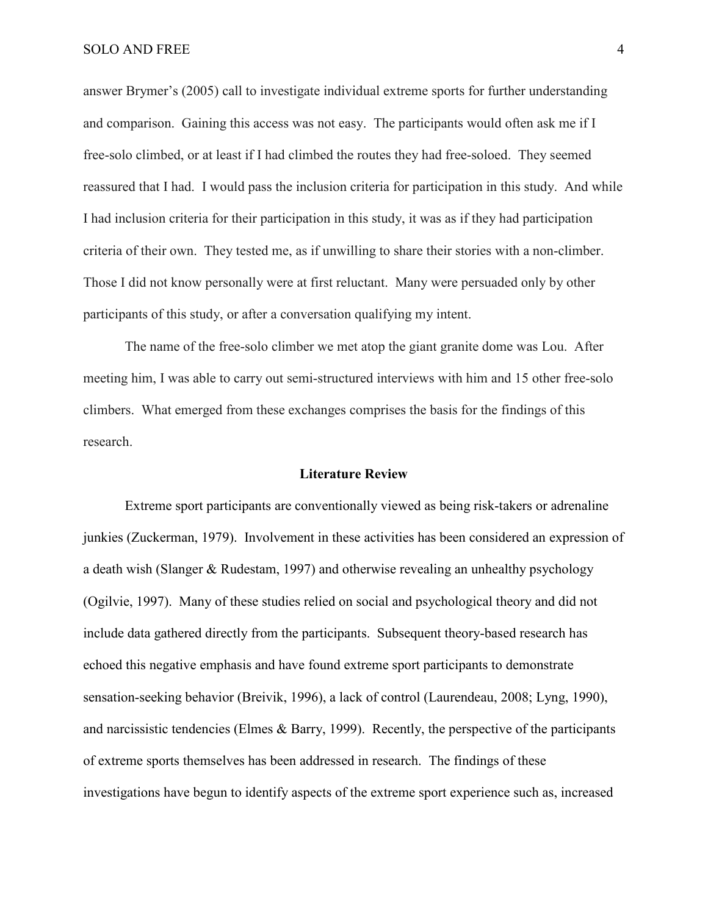answer Brymer's (2005) call to investigate individual extreme sports for further understanding and comparison. Gaining this access was not easy. The participants would often ask me if I free-solo climbed, or at least if I had climbed the routes they had free-soloed. They seemed reassured that I had. I would pass the inclusion criteria for participation in this study. And while I had inclusion criteria for their participation in this study, it was as if they had participation criteria of their own. They tested me, as if unwilling to share their stories with a non-climber. Those I did not know personally were at first reluctant. Many were persuaded only by other participants of this study, or after a conversation qualifying my intent.

The name of the free-solo climber we met atop the giant granite dome was Lou. After meeting him, I was able to carry out semi-structured interviews with him and 15 other free-solo climbers. What emerged from these exchanges comprises the basis for the findings of this research.

## **Literature Review**

Extreme sport participants are conventionally viewed as being risk-takers or adrenaline junkies (Zuckerman, 1979). Involvement in these activities has been considered an expression of a death wish (Slanger & Rudestam, 1997) and otherwise revealing an unhealthy psychology (Ogilvie, 1997). Many of these studies relied on social and psychological theory and did not include data gathered directly from the participants. Subsequent theory-based research has echoed this negative emphasis and have found extreme sport participants to demonstrate sensation-seeking behavior (Breivik, 1996), a lack of control (Laurendeau, 2008; Lyng, 1990), and narcissistic tendencies (Elmes & Barry, 1999). Recently, the perspective of the participants of extreme sports themselves has been addressed in research. The findings of these investigations have begun to identify aspects of the extreme sport experience such as, increased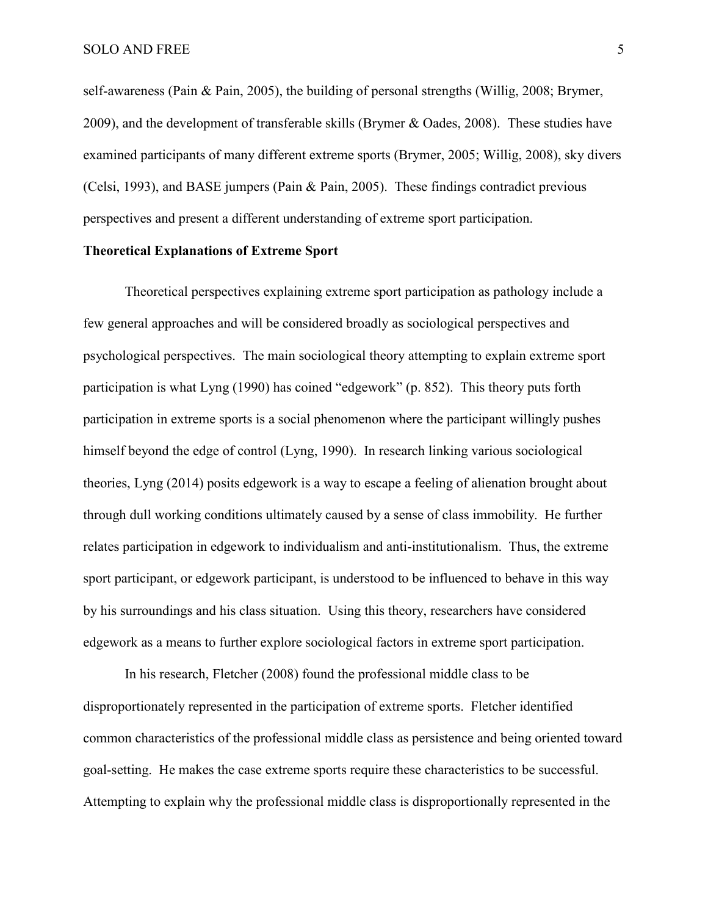self-awareness (Pain & Pain, 2005), the building of personal strengths (Willig, 2008; Brymer, 2009), and the development of transferable skills (Brymer & Oades, 2008). These studies have examined participants of many different extreme sports (Brymer, 2005; Willig, 2008), sky divers (Celsi, 1993), and BASE jumpers (Pain & Pain, 2005). These findings contradict previous perspectives and present a different understanding of extreme sport participation.

# **Theoretical Explanations of Extreme Sport**

Theoretical perspectives explaining extreme sport participation as pathology include a few general approaches and will be considered broadly as sociological perspectives and psychological perspectives. The main sociological theory attempting to explain extreme sport participation is what Lyng (1990) has coined "edgework" (p. 852). This theory puts forth participation in extreme sports is a social phenomenon where the participant willingly pushes himself beyond the edge of control (Lyng, 1990). In research linking various sociological theories, Lyng (2014) posits edgework is a way to escape a feeling of alienation brought about through dull working conditions ultimately caused by a sense of class immobility. He further relates participation in edgework to individualism and anti-institutionalism. Thus, the extreme sport participant, or edgework participant, is understood to be influenced to behave in this way by his surroundings and his class situation. Using this theory, researchers have considered edgework as a means to further explore sociological factors in extreme sport participation.

In his research, Fletcher (2008) found the professional middle class to be disproportionately represented in the participation of extreme sports. Fletcher identified common characteristics of the professional middle class as persistence and being oriented toward goal-setting. He makes the case extreme sports require these characteristics to be successful. Attempting to explain why the professional middle class is disproportionally represented in the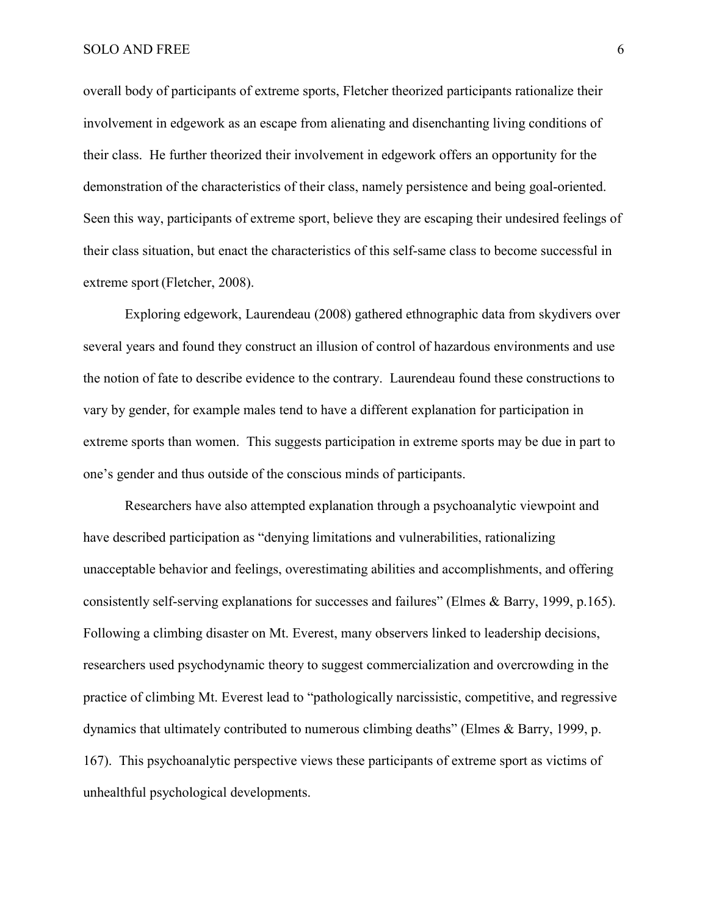overall body of participants of extreme sports, Fletcher theorized participants rationalize their involvement in edgework as an escape from alienating and disenchanting living conditions of their class. He further theorized their involvement in edgework offers an opportunity for the demonstration of the characteristics of their class, namely persistence and being goal-oriented. Seen this way, participants of extreme sport, believe they are escaping their undesired feelings of their class situation, but enact the characteristics of this self-same class to become successful in extreme sport (Fletcher, 2008).

Exploring edgework, Laurendeau (2008) gathered ethnographic data from skydivers over several years and found they construct an illusion of control of hazardous environments and use the notion of fate to describe evidence to the contrary. Laurendeau found these constructions to vary by gender, for example males tend to have a different explanation for participation in extreme sports than women. This suggests participation in extreme sports may be due in part to one's gender and thus outside of the conscious minds of participants.

Researchers have also attempted explanation through a psychoanalytic viewpoint and have described participation as "denying limitations and vulnerabilities, rationalizing unacceptable behavior and feelings, overestimating abilities and accomplishments, and offering consistently self-serving explanations for successes and failures" (Elmes & Barry, 1999, p.165). Following a climbing disaster on Mt. Everest, many observers linked to leadership decisions, researchers used psychodynamic theory to suggest commercialization and overcrowding in the practice of climbing Mt. Everest lead to "pathologically narcissistic, competitive, and regressive dynamics that ultimately contributed to numerous climbing deaths" (Elmes & Barry, 1999, p. 167). This psychoanalytic perspective views these participants of extreme sport as victims of unhealthful psychological developments.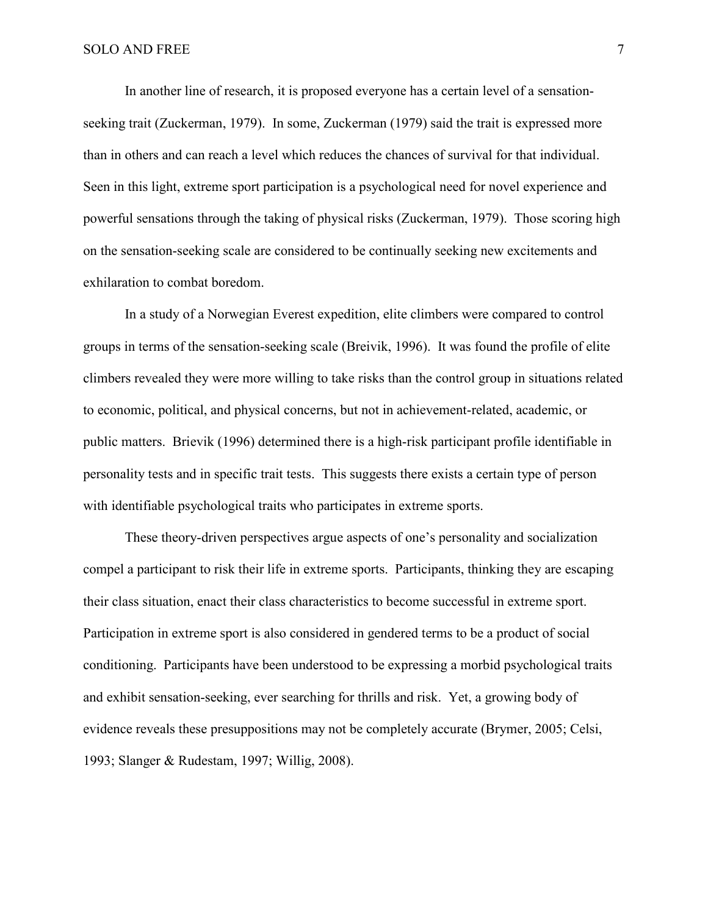In another line of research, it is proposed everyone has a certain level of a sensationseeking trait (Zuckerman, 1979). In some, Zuckerman (1979) said the trait is expressed more than in others and can reach a level which reduces the chances of survival for that individual. Seen in this light, extreme sport participation is a psychological need for novel experience and powerful sensations through the taking of physical risks (Zuckerman, 1979). Those scoring high on the sensation-seeking scale are considered to be continually seeking new excitements and exhilaration to combat boredom.

In a study of a Norwegian Everest expedition, elite climbers were compared to control groups in terms of the sensation-seeking scale (Breivik, 1996). It was found the profile of elite climbers revealed they were more willing to take risks than the control group in situations related to economic, political, and physical concerns, but not in achievement-related, academic, or public matters. Brievik (1996) determined there is a high-risk participant profile identifiable in personality tests and in specific trait tests. This suggests there exists a certain type of person with identifiable psychological traits who participates in extreme sports.

These theory-driven perspectives argue aspects of one's personality and socialization compel a participant to risk their life in extreme sports. Participants, thinking they are escaping their class situation, enact their class characteristics to become successful in extreme sport. Participation in extreme sport is also considered in gendered terms to be a product of social conditioning. Participants have been understood to be expressing a morbid psychological traits and exhibit sensation-seeking, ever searching for thrills and risk. Yet, a growing body of evidence reveals these presuppositions may not be completely accurate (Brymer, 2005; Celsi, 1993; Slanger & Rudestam, 1997; Willig, 2008).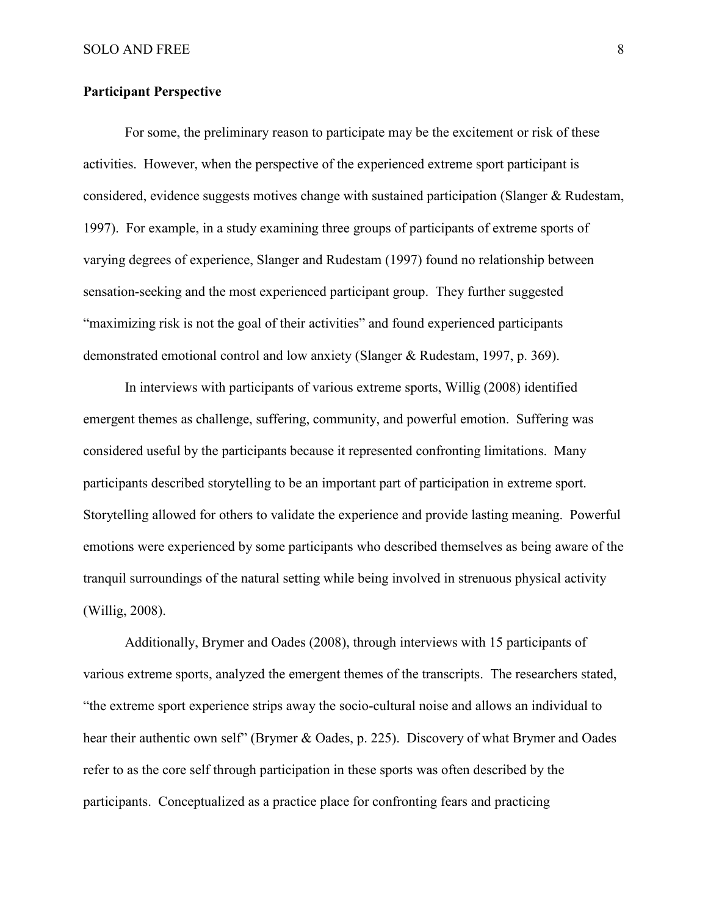# **Participant Perspective**

For some, the preliminary reason to participate may be the excitement or risk of these activities. However, when the perspective of the experienced extreme sport participant is considered, evidence suggests motives change with sustained participation (Slanger & Rudestam, 1997). For example, in a study examining three groups of participants of extreme sports of varying degrees of experience, Slanger and Rudestam (1997) found no relationship between sensation-seeking and the most experienced participant group. They further suggested "maximizing risk is not the goal of their activities" and found experienced participants demonstrated emotional control and low anxiety (Slanger & Rudestam, 1997, p. 369).

In interviews with participants of various extreme sports, Willig (2008) identified emergent themes as challenge, suffering, community, and powerful emotion. Suffering was considered useful by the participants because it represented confronting limitations. Many participants described storytelling to be an important part of participation in extreme sport. Storytelling allowed for others to validate the experience and provide lasting meaning. Powerful emotions were experienced by some participants who described themselves as being aware of the tranquil surroundings of the natural setting while being involved in strenuous physical activity (Willig, 2008).

Additionally, Brymer and Oades (2008), through interviews with 15 participants of various extreme sports, analyzed the emergent themes of the transcripts. The researchers stated, "the extreme sport experience strips away the socio-cultural noise and allows an individual to hear their authentic own self" (Brymer & Oades, p. 225). Discovery of what Brymer and Oades refer to as the core self through participation in these sports was often described by the participants. Conceptualized as a practice place for confronting fears and practicing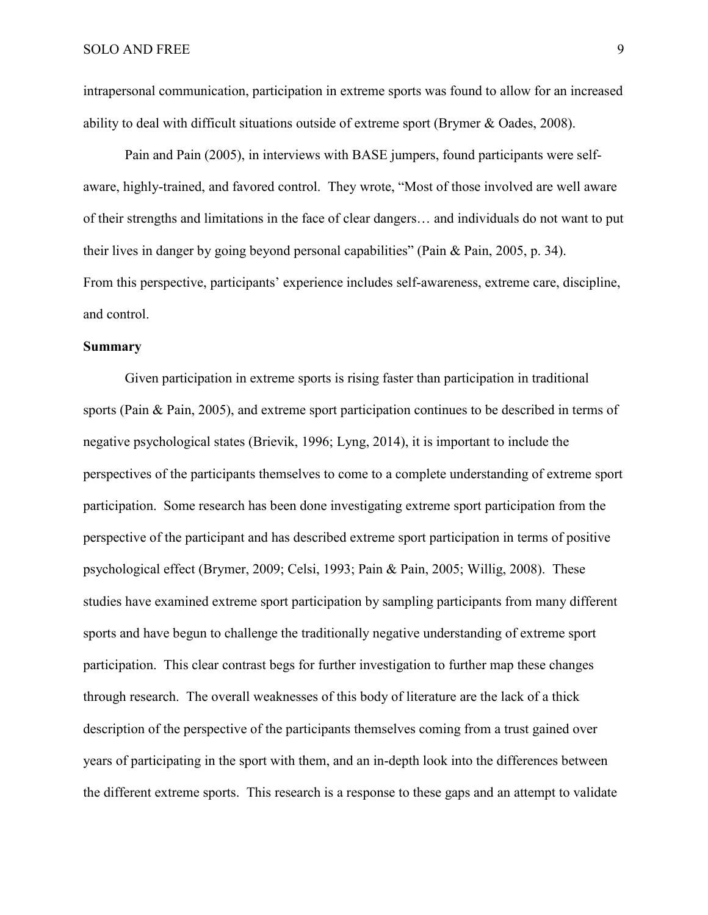intrapersonal communication, participation in extreme sports was found to allow for an increased ability to deal with difficult situations outside of extreme sport (Brymer & Oades, 2008).

Pain and Pain (2005), in interviews with BASE jumpers, found participants were selfaware, highly-trained, and favored control. They wrote, "Most of those involved are well aware of their strengths and limitations in the face of clear dangers… and individuals do not want to put their lives in danger by going beyond personal capabilities" (Pain & Pain, 2005, p. 34). From this perspective, participants' experience includes self-awareness, extreme care, discipline, and control.

# **Summary**

Given participation in extreme sports is rising faster than participation in traditional sports (Pain & Pain, 2005), and extreme sport participation continues to be described in terms of negative psychological states (Brievik, 1996; Lyng, 2014), it is important to include the perspectives of the participants themselves to come to a complete understanding of extreme sport participation. Some research has been done investigating extreme sport participation from the perspective of the participant and has described extreme sport participation in terms of positive psychological effect (Brymer, 2009; Celsi, 1993; Pain & Pain, 2005; Willig, 2008). These studies have examined extreme sport participation by sampling participants from many different sports and have begun to challenge the traditionally negative understanding of extreme sport participation. This clear contrast begs for further investigation to further map these changes through research. The overall weaknesses of this body of literature are the lack of a thick description of the perspective of the participants themselves coming from a trust gained over years of participating in the sport with them, and an in-depth look into the differences between the different extreme sports. This research is a response to these gaps and an attempt to validate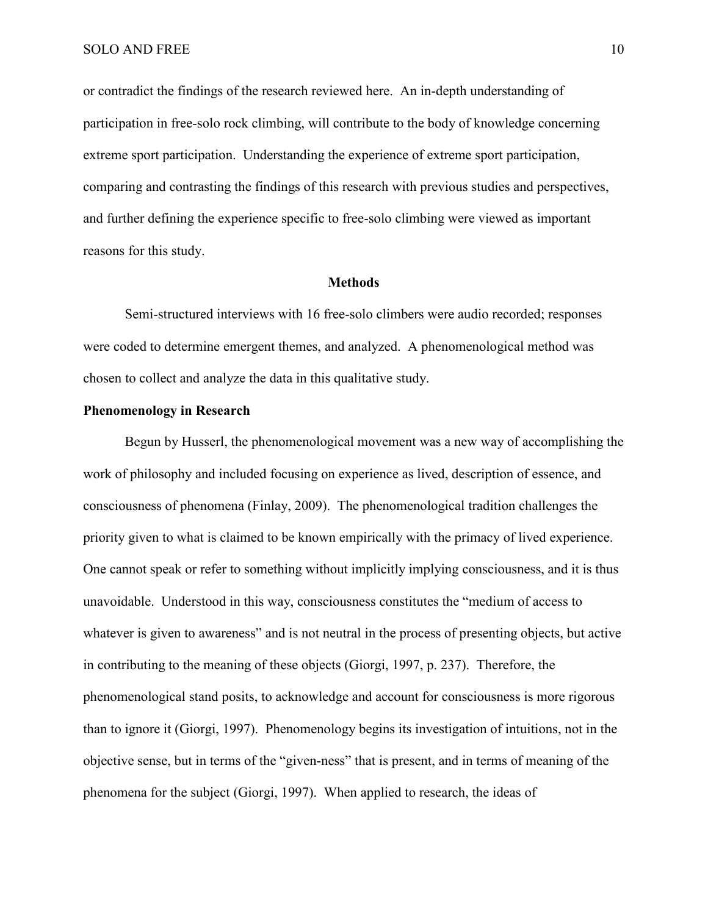or contradict the findings of the research reviewed here. An in-depth understanding of participation in free-solo rock climbing, will contribute to the body of knowledge concerning extreme sport participation. Understanding the experience of extreme sport participation, comparing and contrasting the findings of this research with previous studies and perspectives, and further defining the experience specific to free-solo climbing were viewed as important reasons for this study.

## **Methods**

Semi-structured interviews with 16 free-solo climbers were audio recorded; responses were coded to determine emergent themes, and analyzed. A phenomenological method was chosen to collect and analyze the data in this qualitative study.

# **Phenomenology in Research**

Begun by Husserl, the phenomenological movement was a new way of accomplishing the work of philosophy and included focusing on experience as lived, description of essence, and consciousness of phenomena (Finlay, 2009). The phenomenological tradition challenges the priority given to what is claimed to be known empirically with the primacy of lived experience. One cannot speak or refer to something without implicitly implying consciousness, and it is thus unavoidable. Understood in this way, consciousness constitutes the "medium of access to whatever is given to awareness" and is not neutral in the process of presenting objects, but active in contributing to the meaning of these objects (Giorgi, 1997, p. 237). Therefore, the phenomenological stand posits, to acknowledge and account for consciousness is more rigorous than to ignore it (Giorgi, 1997). Phenomenology begins its investigation of intuitions, not in the objective sense, but in terms of the "given-ness" that is present, and in terms of meaning of the phenomena for the subject (Giorgi, 1997). When applied to research, the ideas of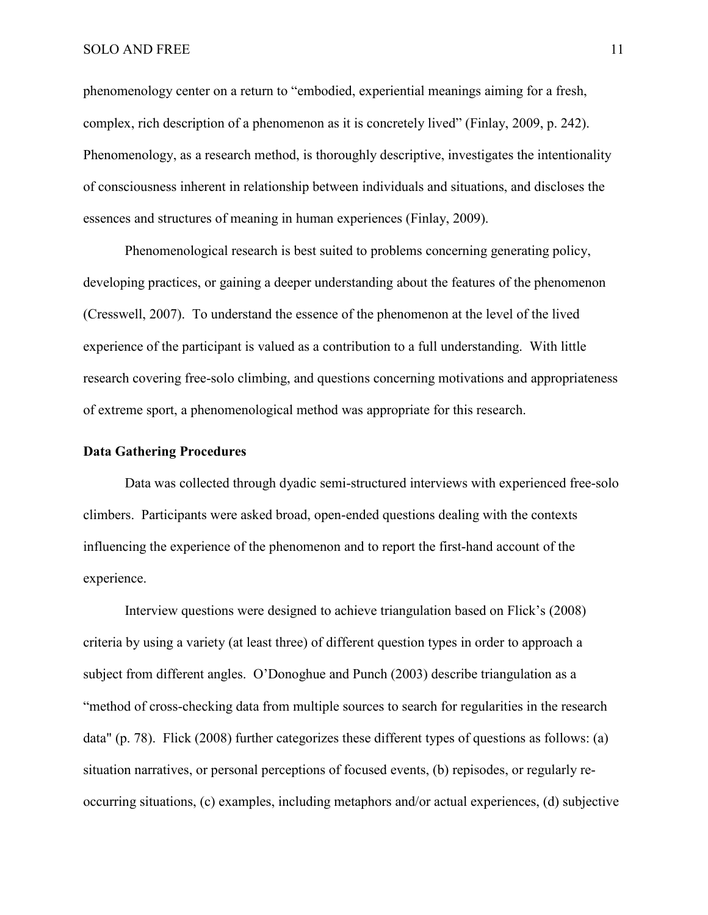## SOLO AND FREE 11

phenomenology center on a return to "embodied, experiential meanings aiming for a fresh, complex, rich description of a phenomenon as it is concretely lived" (Finlay, 2009, p. 242). Phenomenology, as a research method, is thoroughly descriptive, investigates the intentionality of consciousness inherent in relationship between individuals and situations, and discloses the essences and structures of meaning in human experiences (Finlay, 2009).

Phenomenological research is best suited to problems concerning generating policy, developing practices, or gaining a deeper understanding about the features of the phenomenon (Cresswell, 2007). To understand the essence of the phenomenon at the level of the lived experience of the participant is valued as a contribution to a full understanding. With little research covering free-solo climbing, and questions concerning motivations and appropriateness of extreme sport, a phenomenological method was appropriate for this research.

# **Data Gathering Procedures**

Data was collected through dyadic semi-structured interviews with experienced free-solo climbers. Participants were asked broad, open-ended questions dealing with the contexts influencing the experience of the phenomenon and to report the first-hand account of the experience.

Interview questions were designed to achieve triangulation based on Flick's (2008) criteria by using a variety (at least three) of different question types in order to approach a subject from different angles. O'Donoghue and Punch (2003) describe triangulation as a "method of cross-checking data from multiple sources to search for regularities in the research data" (p. 78). Flick (2008) further categorizes these different types of questions as follows: (a) situation narratives, or personal perceptions of focused events, (b) repisodes, or regularly reoccurring situations, (c) examples, including metaphors and/or actual experiences, (d) subjective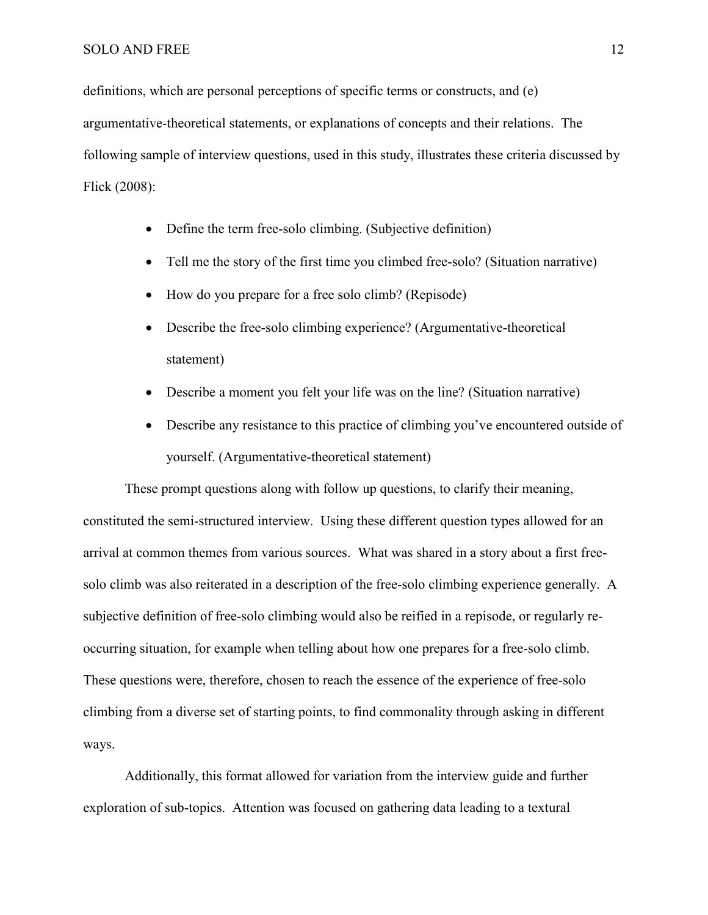#### SOLO AND FREE 12

definitions, which are personal perceptions of specific terms or constructs, and (e) argumentative-theoretical statements, or explanations of concepts and their relations. The following sample of interview questions, used in this study, illustrates these criteria discussed by Flick (2008):

- Define the term free-solo climbing. (Subjective definition)
- Tell me the story of the first time you climbed free-solo? (Situation narrative)
- How do you prepare for a free solo climb? (Repisode)
- Describe the free-solo climbing experience? (Argumentative-theoretical statement)
- Describe a moment you felt your life was on the line? (Situation narrative)
- Describe any resistance to this practice of climbing you've encountered outside of yourself. (Argumentative-theoretical statement)

These prompt questions along with follow up questions, to clarify their meaning, constituted the semi-structured interview. Using these different question types allowed for an arrival at common themes from various sources. What was shared in a story about a first freesolo climb was also reiterated in a description of the free-solo climbing experience generally. A subjective definition of free-solo climbing would also be reified in a repisode, or regularly reoccurring situation, for example when telling about how one prepares for a free-solo climb. These questions were, therefore, chosen to reach the essence of the experience of free-solo climbing from a diverse set of starting points, to find commonality through asking in different ways.

Additionally, this format allowed for variation from the interview guide and further exploration of sub-topics. Attention was focused on gathering data leading to a textural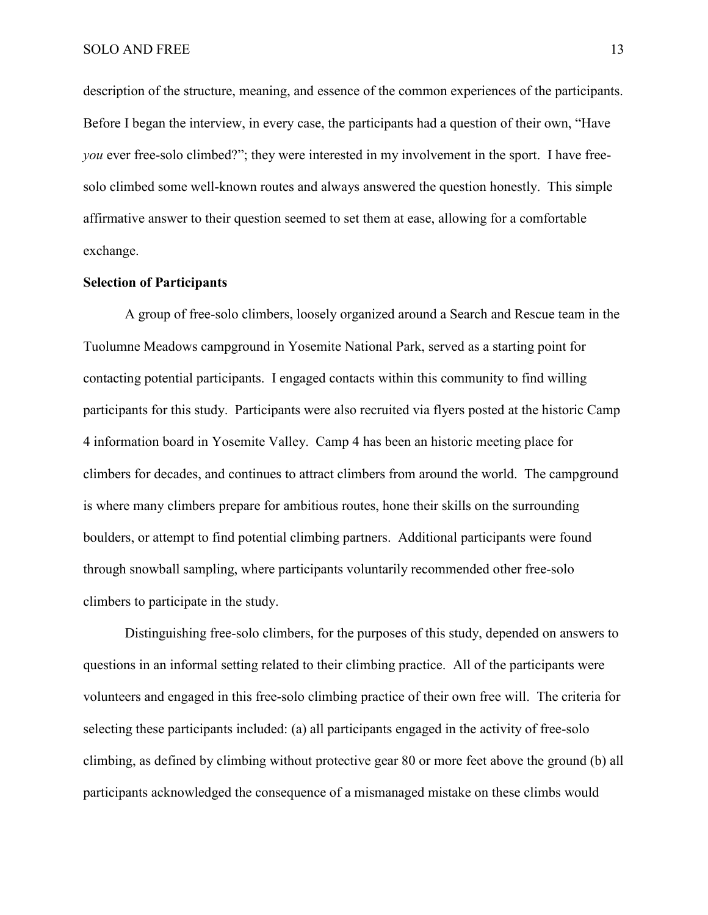description of the structure, meaning, and essence of the common experiences of the participants. Before I began the interview, in every case, the participants had a question of their own, "Have *you* ever free-solo climbed?"; they were interested in my involvement in the sport. I have freesolo climbed some well-known routes and always answered the question honestly. This simple affirmative answer to their question seemed to set them at ease, allowing for a comfortable exchange.

# **Selection of Participants**

A group of free-solo climbers, loosely organized around a Search and Rescue team in the Tuolumne Meadows campground in Yosemite National Park, served as a starting point for contacting potential participants. I engaged contacts within this community to find willing participants for this study. Participants were also recruited via flyers posted at the historic Camp 4 information board in Yosemite Valley. Camp 4 has been an historic meeting place for climbers for decades, and continues to attract climbers from around the world. The campground is where many climbers prepare for ambitious routes, hone their skills on the surrounding boulders, or attempt to find potential climbing partners. Additional participants were found through snowball sampling, where participants voluntarily recommended other free-solo climbers to participate in the study.

Distinguishing free-solo climbers, for the purposes of this study, depended on answers to questions in an informal setting related to their climbing practice.All of the participants were volunteers and engaged in this free-solo climbing practice of their own free will. The criteria for selecting these participants included: (a) all participants engaged in the activity of free-solo climbing, as defined by climbing without protective gear 80 or more feet above the ground (b) all participants acknowledged the consequence of a mismanaged mistake on these climbs would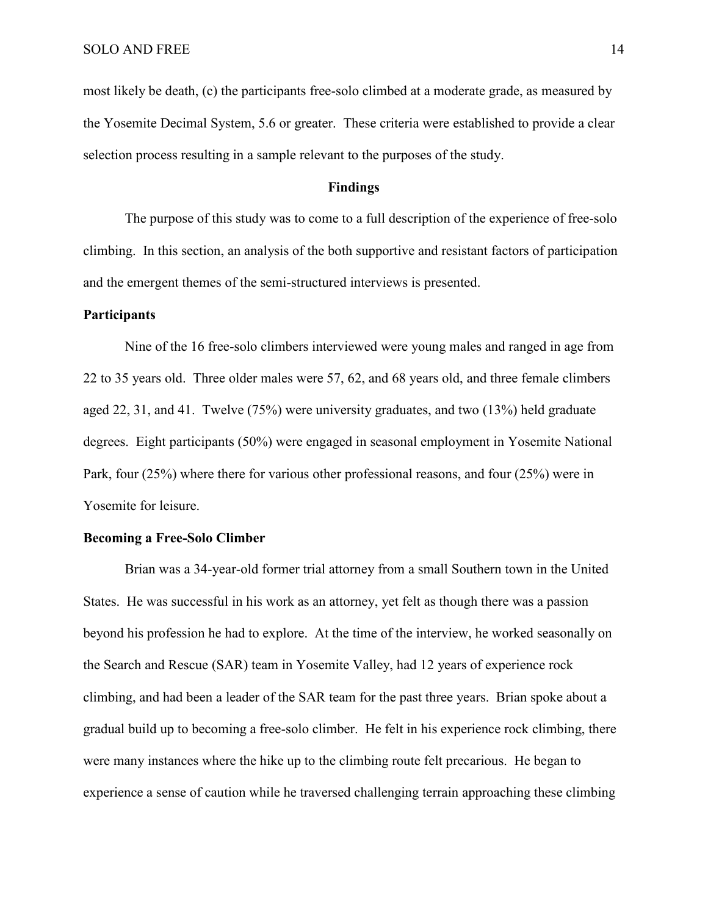most likely be death, (c) the participants free-solo climbed at a moderate grade, as measured by the Yosemite Decimal System, 5.6 or greater. These criteria were established to provide a clear selection process resulting in a sample relevant to the purposes of the study.

## **Findings**

The purpose of this study was to come to a full description of the experience of free-solo climbing. In this section, an analysis of the both supportive and resistant factors of participation and the emergent themes of the semi-structured interviews is presented.

## **Participants**

Nine of the 16 free-solo climbers interviewed were young males and ranged in age from 22 to 35 years old. Three older males were 57, 62, and 68 years old, and three female climbers aged 22, 31, and 41. Twelve (75%) were university graduates, and two (13%) held graduate degrees. Eight participants (50%) were engaged in seasonal employment in Yosemite National Park, four (25%) where there for various other professional reasons, and four (25%) were in Yosemite for leisure.

# **Becoming a Free-Solo Climber**

Brian was a 34-year-old former trial attorney from a small Southern town in the United States. He was successful in his work as an attorney, yet felt as though there was a passion beyond his profession he had to explore. At the time of the interview, he worked seasonally on the Search and Rescue (SAR) team in Yosemite Valley, had 12 years of experience rock climbing, and had been a leader of the SAR team for the past three years. Brian spoke about a gradual build up to becoming a free-solo climber. He felt in his experience rock climbing, there were many instances where the hike up to the climbing route felt precarious. He began to experience a sense of caution while he traversed challenging terrain approaching these climbing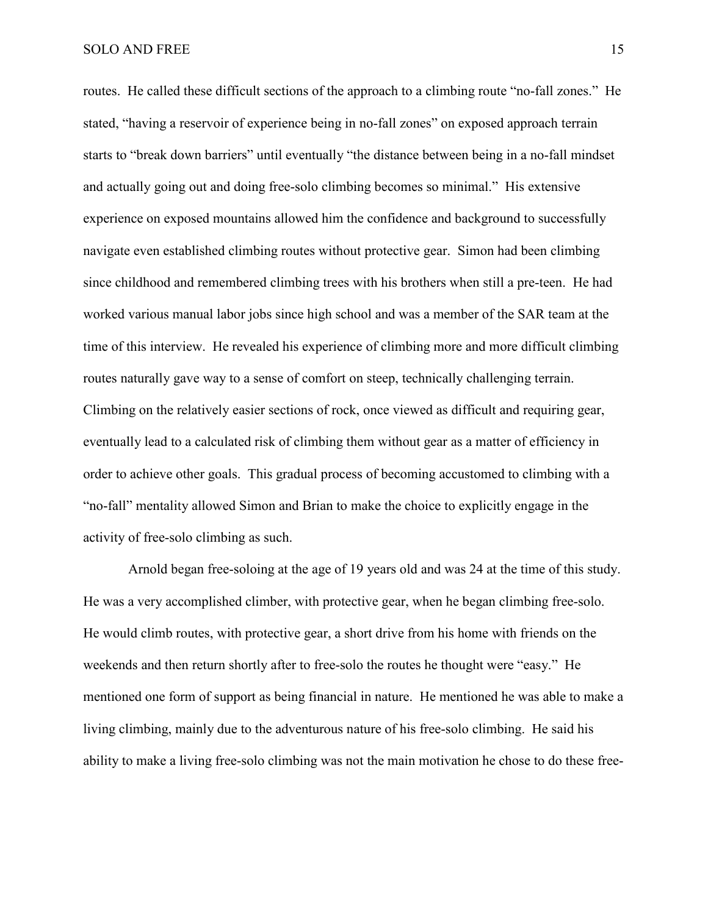#### SOLO AND FREE 15

routes. He called these difficult sections of the approach to a climbing route "no-fall zones." He stated, "having a reservoir of experience being in no-fall zones" on exposed approach terrain starts to "break down barriers" until eventually "the distance between being in a no-fall mindset and actually going out and doing free-solo climbing becomes so minimal." His extensive experience on exposed mountains allowed him the confidence and background to successfully navigate even established climbing routes without protective gear. Simon had been climbing since childhood and remembered climbing trees with his brothers when still a pre-teen. He had worked various manual labor jobs since high school and was a member of the SAR team at the time of this interview. He revealed his experience of climbing more and more difficult climbing routes naturally gave way to a sense of comfort on steep, technically challenging terrain. Climbing on the relatively easier sections of rock, once viewed as difficult and requiring gear, eventually lead to a calculated risk of climbing them without gear as a matter of efficiency in order to achieve other goals. This gradual process of becoming accustomed to climbing with a "no-fall" mentality allowed Simon and Brian to make the choice to explicitly engage in the activity of free-solo climbing as such.

Arnold began free-soloing at the age of 19 years old and was 24 at the time of this study. He was a very accomplished climber, with protective gear, when he began climbing free-solo. He would climb routes, with protective gear, a short drive from his home with friends on the weekends and then return shortly after to free-solo the routes he thought were "easy." He mentioned one form of support as being financial in nature. He mentioned he was able to make a living climbing, mainly due to the adventurous nature of his free-solo climbing. He said his ability to make a living free-solo climbing was not the main motivation he chose to do these free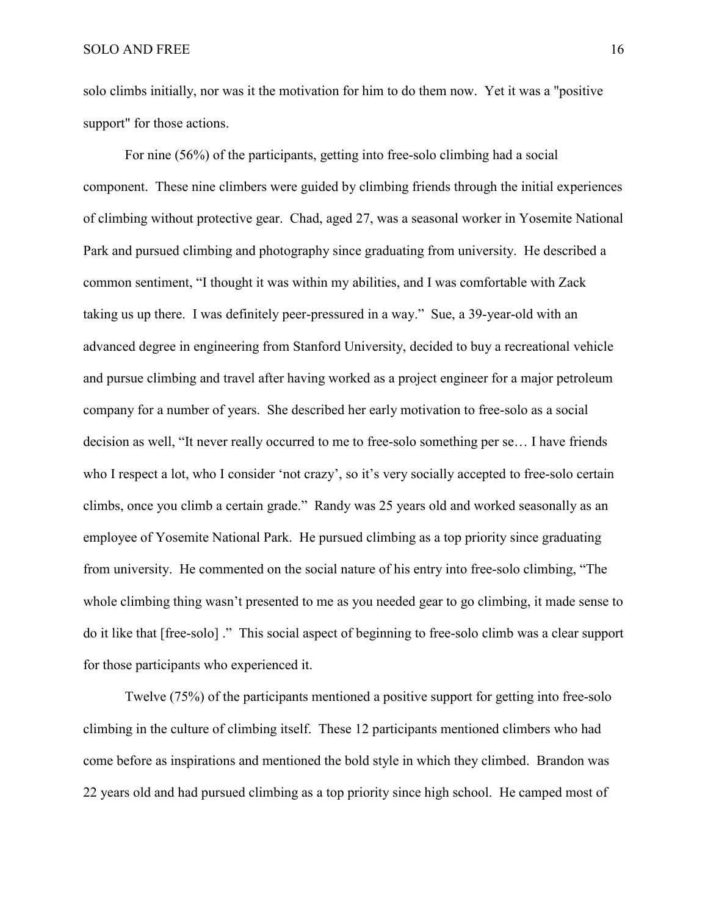solo climbs initially, nor was it the motivation for him to do them now. Yet it was a "positive support" for those actions.

For nine (56%) of the participants, getting into free-solo climbing had a social component. These nine climbers were guided by climbing friends through the initial experiences of climbing without protective gear. Chad, aged 27, was a seasonal worker in Yosemite National Park and pursued climbing and photography since graduating from university. He described a common sentiment, "I thought it was within my abilities, and I was comfortable with Zack taking us up there. I was definitely peer-pressured in a way." Sue, a 39-year-old with an advanced degree in engineering from Stanford University, decided to buy a recreational vehicle and pursue climbing and travel after having worked as a project engineer for a major petroleum company for a number of years. She described her early motivation to free-solo as a social decision as well, "It never really occurred to me to free-solo something per se… I have friends who I respect a lot, who I consider 'not crazy', so it's very socially accepted to free-solo certain climbs, once you climb a certain grade." Randy was 25 years old and worked seasonally as an employee of Yosemite National Park. He pursued climbing as a top priority since graduating from university. He commented on the social nature of his entry into free-solo climbing, "The whole climbing thing wasn't presented to me as you needed gear to go climbing, it made sense to do it like that [free-solo] ." This social aspect of beginning to free-solo climb was a clear support for those participants who experienced it.

Twelve (75%) of the participants mentioned a positive support for getting into free-solo climbing in the culture of climbing itself. These 12 participants mentioned climbers who had come before as inspirations and mentioned the bold style in which they climbed. Brandon was 22 years old and had pursued climbing as a top priority since high school. He camped most of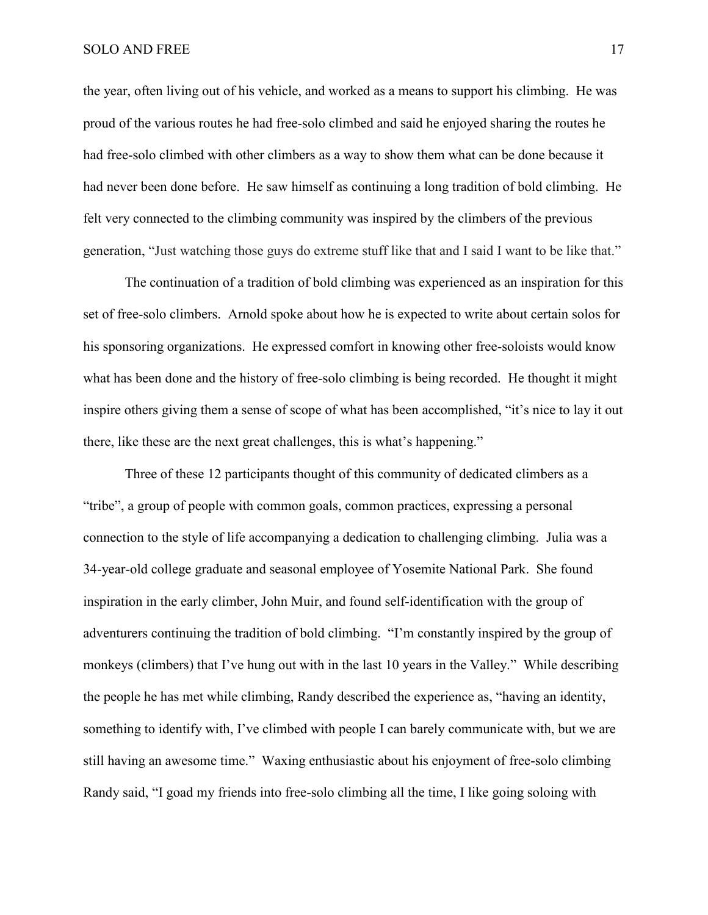the year, often living out of his vehicle, and worked as a means to support his climbing. He was proud of the various routes he had free-solo climbed and said he enjoyed sharing the routes he had free-solo climbed with other climbers as a way to show them what can be done because it had never been done before. He saw himself as continuing a long tradition of bold climbing. He felt very connected to the climbing community was inspired by the climbers of the previous generation, "Just watching those guys do extreme stuff like that and I said I want to be like that."

The continuation of a tradition of bold climbing was experienced as an inspiration for this set of free-solo climbers. Arnold spoke about how he is expected to write about certain solos for his sponsoring organizations. He expressed comfort in knowing other free-soloists would know what has been done and the history of free-solo climbing is being recorded. He thought it might inspire others giving them a sense of scope of what has been accomplished, "it's nice to lay it out there, like these are the next great challenges, this is what's happening."

Three of these 12 participants thought of this community of dedicated climbers as a "tribe", a group of people with common goals, common practices, expressing a personal connection to the style of life accompanying a dedication to challenging climbing. Julia was a 34-year-old college graduate and seasonal employee of Yosemite National Park. She found inspiration in the early climber, John Muir, and found self-identification with the group of adventurers continuing the tradition of bold climbing. "I'm constantly inspired by the group of monkeys (climbers) that I've hung out with in the last 10 years in the Valley." While describing the people he has met while climbing, Randy described the experience as, "having an identity, something to identify with, I've climbed with people I can barely communicate with, but we are still having an awesome time." Waxing enthusiastic about his enjoyment of free-solo climbing Randy said, "I goad my friends into free-solo climbing all the time, I like going soloing with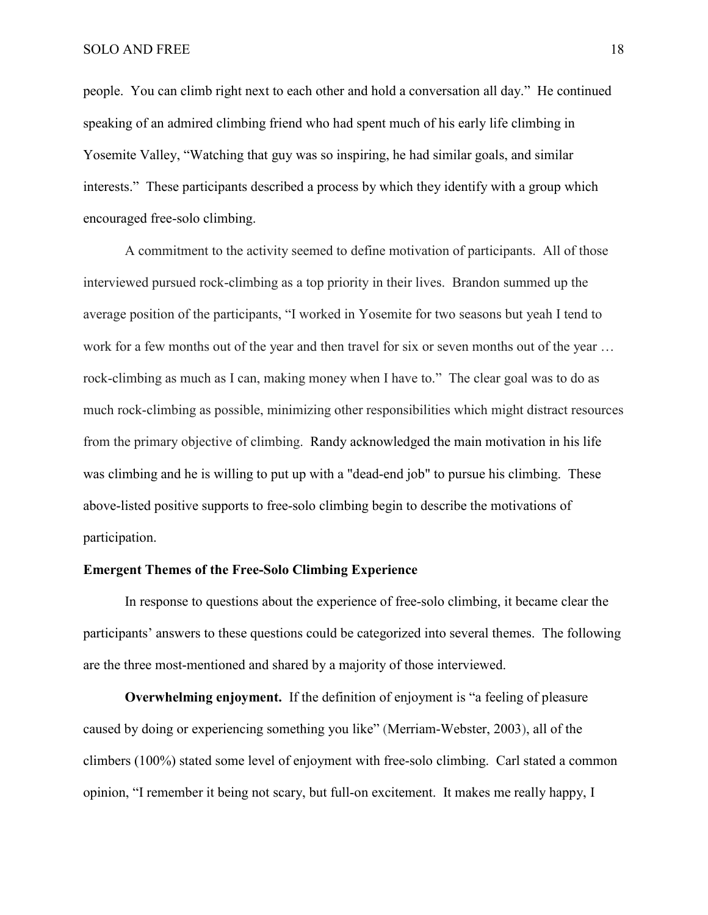people. You can climb right next to each other and hold a conversation all day." He continued speaking of an admired climbing friend who had spent much of his early life climbing in Yosemite Valley, "Watching that guy was so inspiring, he had similar goals, and similar interests." These participants described a process by which they identify with a group which encouraged free-solo climbing.

A commitment to the activity seemed to define motivation of participants. All of those interviewed pursued rock-climbing as a top priority in their lives. Brandon summed up the average position of the participants, "I worked in Yosemite for two seasons but yeah I tend to work for a few months out of the year and then travel for six or seven months out of the year … rock-climbing as much as I can, making money when I have to." The clear goal was to do as much rock-climbing as possible, minimizing other responsibilities which might distract resources from the primary objective of climbing. Randy acknowledged the main motivation in his life was climbing and he is willing to put up with a "dead-end job" to pursue his climbing. These above-listed positive supports to free-solo climbing begin to describe the motivations of participation.

# **Emergent Themes of the Free-Solo Climbing Experience**

In response to questions about the experience of free-solo climbing, it became clear the participants' answers to these questions could be categorized into several themes. The following are the three most-mentioned and shared by a majority of those interviewed.

**Overwhelming enjoyment.** If the definition of enjoyment is "a feeling of pleasure caused by doing or experiencing something you like" (Merriam-Webster, 2003), all of the climbers (100%) stated some level of enjoyment with free-solo climbing. Carl stated a common opinion, "I remember it being not scary, but full-on excitement. It makes me really happy, I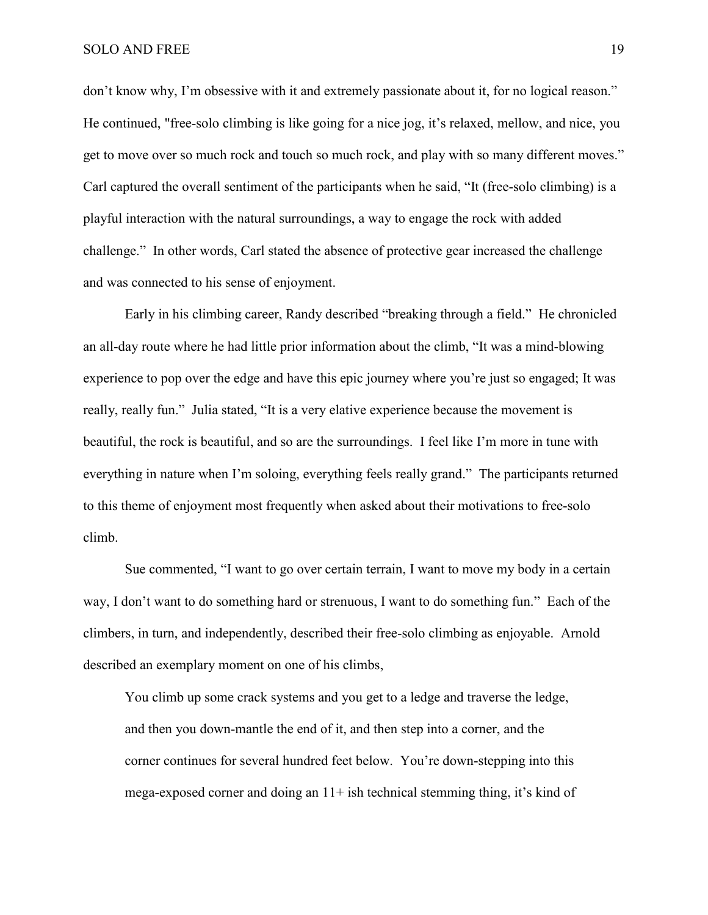don't know why, I'm obsessive with it and extremely passionate about it, for no logical reason." He continued, "free-solo climbing is like going for a nice jog, it's relaxed, mellow, and nice, you get to move over so much rock and touch so much rock, and play with so many different moves." Carl captured the overall sentiment of the participants when he said, "It (free-solo climbing) is a playful interaction with the natural surroundings, a way to engage the rock with added challenge." In other words, Carl stated the absence of protective gear increased the challenge and was connected to his sense of enjoyment.

Early in his climbing career, Randy described "breaking through a field." He chronicled an all-day route where he had little prior information about the climb, "It was a mind-blowing experience to pop over the edge and have this epic journey where you're just so engaged; It was really, really fun." Julia stated, "It is a very elative experience because the movement is beautiful, the rock is beautiful, and so are the surroundings. I feel like I'm more in tune with everything in nature when I'm soloing, everything feels really grand." The participants returned to this theme of enjoyment most frequently when asked about their motivations to free-solo climb.

Sue commented, "I want to go over certain terrain, I want to move my body in a certain way, I don't want to do something hard or strenuous, I want to do something fun." Each of the climbers, in turn, and independently, described their free-solo climbing as enjoyable. Arnold described an exemplary moment on one of his climbs,

You climb up some crack systems and you get to a ledge and traverse the ledge, and then you down-mantle the end of it, and then step into a corner, and the corner continues for several hundred feet below. You're down-stepping into this mega-exposed corner and doing an  $11+$  ish technical stemming thing, it's kind of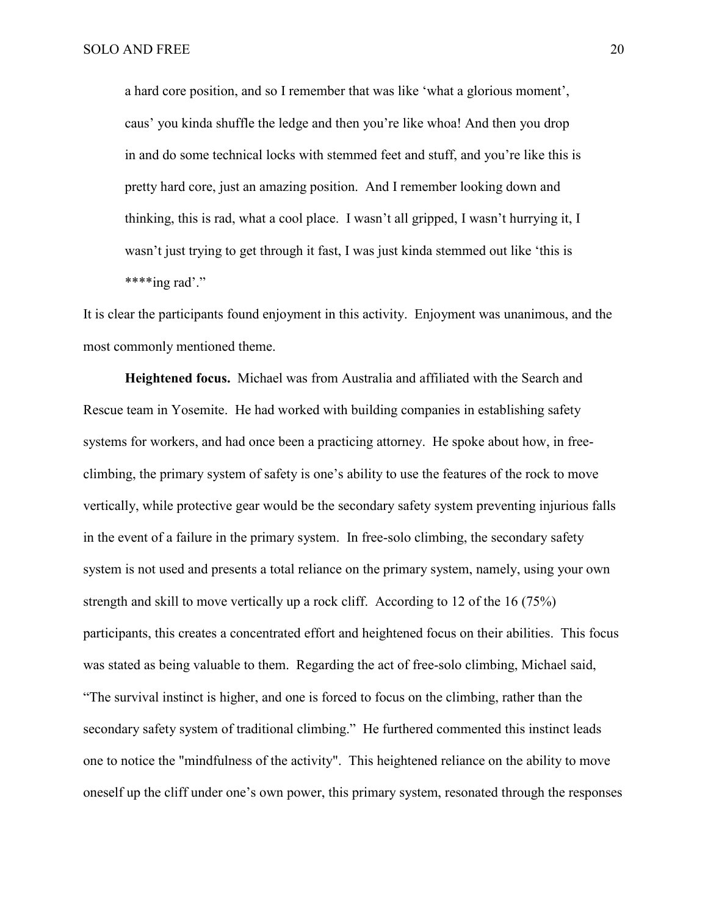a hard core position, and so I remember that was like 'what a glorious moment', caus' you kinda shuffle the ledge and then you're like whoa! And then you drop in and do some technical locks with stemmed feet and stuff, and you're like this is pretty hard core, just an amazing position. And I remember looking down and thinking, this is rad, what a cool place. I wasn't all gripped, I wasn't hurrying it, I wasn't just trying to get through it fast, I was just kinda stemmed out like 'this is \*\*\*\*ing rad'."

It is clear the participants found enjoyment in this activity. Enjoyment was unanimous, and the most commonly mentioned theme.

**Heightened focus.** Michael was from Australia and affiliated with the Search and Rescue team in Yosemite. He had worked with building companies in establishing safety systems for workers, and had once been a practicing attorney. He spoke about how, in freeclimbing, the primary system of safety is one's ability to use the features of the rock to move vertically, while protective gear would be the secondary safety system preventing injurious falls in the event of a failure in the primary system. In free-solo climbing, the secondary safety system is not used and presents a total reliance on the primary system, namely, using your own strength and skill to move vertically up a rock cliff. According to 12 of the 16 (75%) participants, this creates a concentrated effort and heightened focus on their abilities. This focus was stated as being valuable to them. Regarding the act of free-solo climbing, Michael said, "The survival instinct is higher, and one is forced to focus on the climbing, rather than the secondary safety system of traditional climbing." He furthered commented this instinct leads one to notice the "mindfulness of the activity". This heightened reliance on the ability to move oneself up the cliff under one's own power, this primary system, resonated through the responses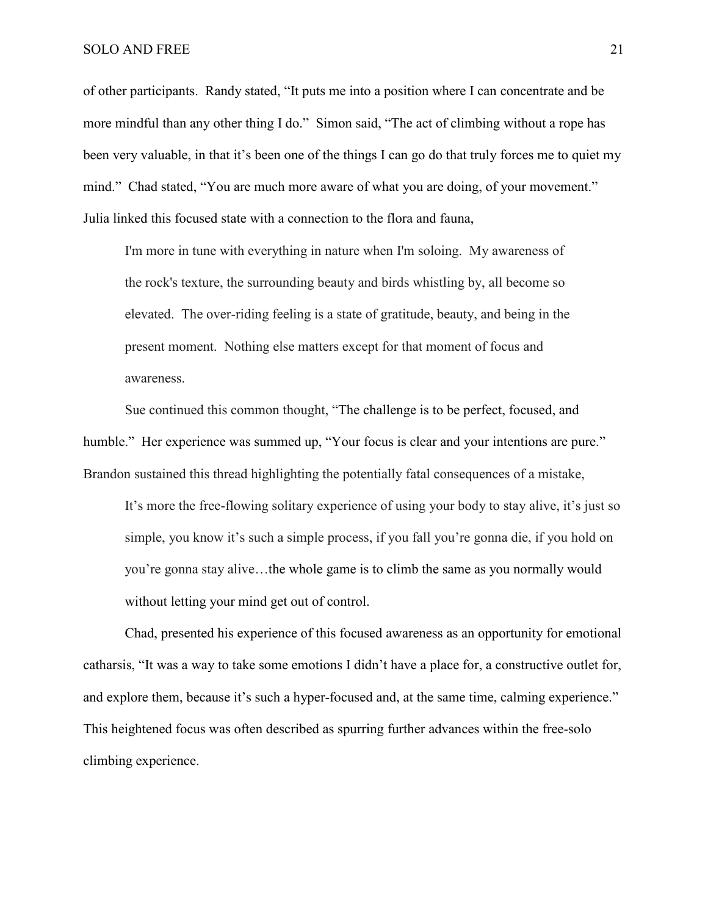of other participants. Randy stated, "It puts me into a position where I can concentrate and be more mindful than any other thing I do." Simon said, "The act of climbing without a rope has been very valuable, in that it's been one of the things I can go do that truly forces me to quiet my mind." Chad stated, "You are much more aware of what you are doing, of your movement." Julia linked this focused state with a connection to the flora and fauna,

I'm more in tune with everything in nature when I'm soloing. My awareness of the rock's texture, the surrounding beauty and birds whistling by, all become so elevated. The over-riding feeling is a state of gratitude, beauty, and being in the present moment. Nothing else matters except for that moment of focus and awareness.

Sue continued this common thought, "The challenge is to be perfect, focused, and humble." Her experience was summed up, "Your focus is clear and your intentions are pure." Brandon sustained this thread highlighting the potentially fatal consequences of a mistake,

It's more the free-flowing solitary experience of using your body to stay alive, it's just so simple, you know it's such a simple process, if you fall you're gonna die, if you hold on you're gonna stay alive…the whole game is to climb the same as you normally would without letting your mind get out of control.

Chad, presented his experience of this focused awareness as an opportunity for emotional catharsis, "It was a way to take some emotions I didn't have a place for, a constructive outlet for, and explore them, because it's such a hyper-focused and, at the same time, calming experience." This heightened focus was often described as spurring further advances within the free-solo climbing experience.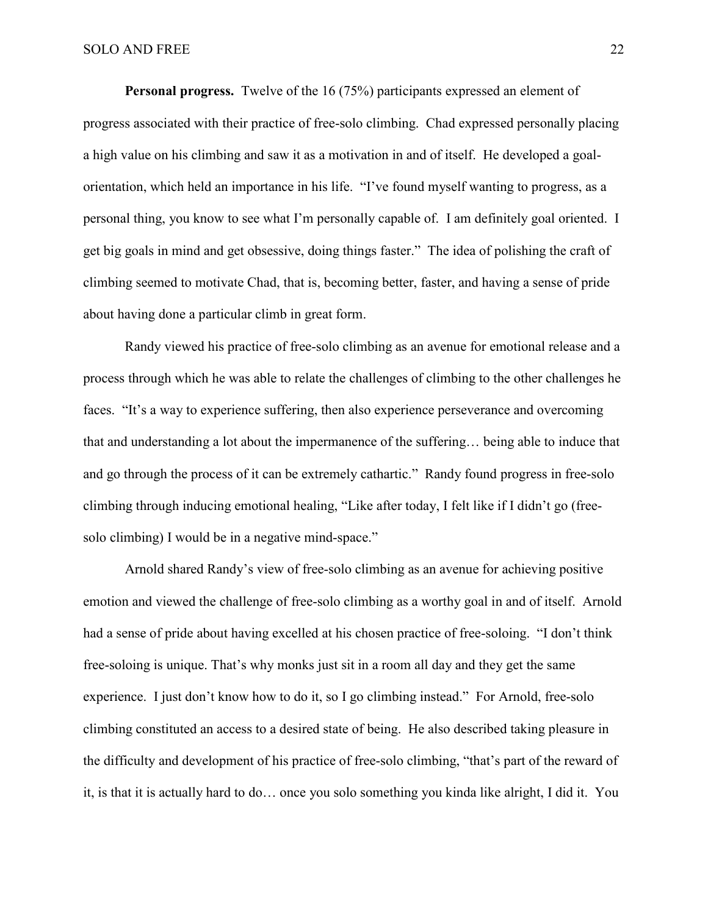**Personal progress.** Twelve of the 16 (75%) participants expressed an element of progress associated with their practice of free-solo climbing. Chad expressed personally placing a high value on his climbing and saw it as a motivation in and of itself. He developed a goalorientation, which held an importance in his life. "I've found myself wanting to progress, as a personal thing, you know to see what I'm personally capable of. I am definitely goal oriented. I get big goals in mind and get obsessive, doing things faster." The idea of polishing the craft of climbing seemed to motivate Chad, that is, becoming better, faster, and having a sense of pride about having done a particular climb in great form.

Randy viewed his practice of free-solo climbing as an avenue for emotional release and a process through which he was able to relate the challenges of climbing to the other challenges he faces. "It's a way to experience suffering, then also experience perseverance and overcoming that and understanding a lot about the impermanence of the suffering… being able to induce that and go through the process of it can be extremely cathartic." Randy found progress in free-solo climbing through inducing emotional healing, "Like after today, I felt like if I didn't go (freesolo climbing) I would be in a negative mind-space."

Arnold shared Randy's view of free-solo climbing as an avenue for achieving positive emotion and viewed the challenge of free-solo climbing as a worthy goal in and of itself. Arnold had a sense of pride about having excelled at his chosen practice of free-soloing. "I don't think free-soloing is unique. That's why monks just sit in a room all day and they get the same experience. I just don't know how to do it, so I go climbing instead." For Arnold, free-solo climbing constituted an access to a desired state of being. He also described taking pleasure in the difficulty and development of his practice of free-solo climbing, "that's part of the reward of it, is that it is actually hard to do… once you solo something you kinda like alright, I did it. You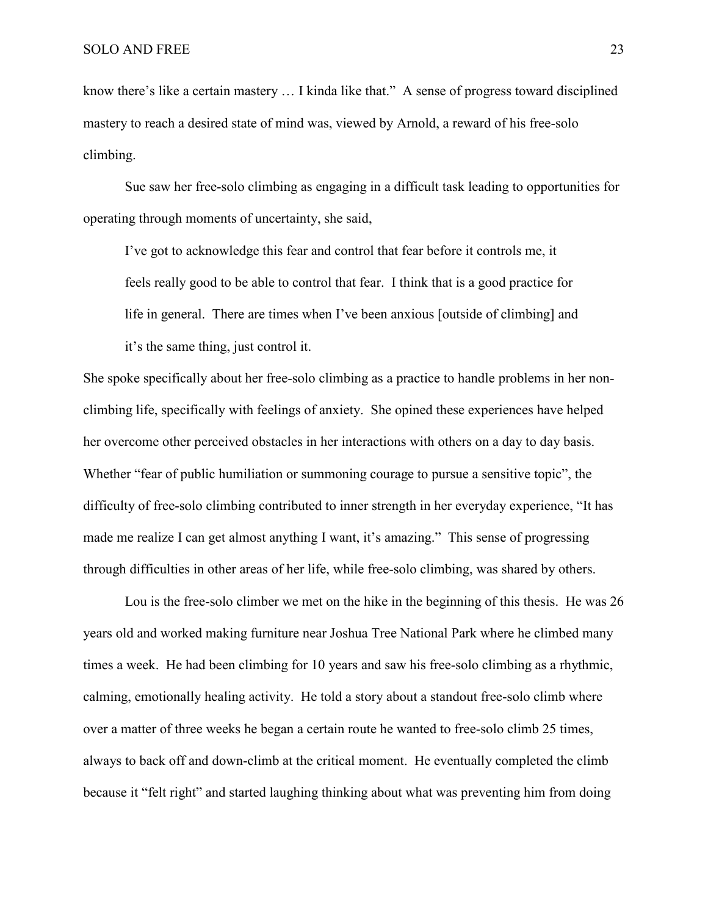know there's like a certain mastery … I kinda like that." A sense of progress toward disciplined mastery to reach a desired state of mind was, viewed by Arnold, a reward of his free-solo climbing.

Sue saw her free-solo climbing as engaging in a difficult task leading to opportunities for operating through moments of uncertainty, she said,

I've got to acknowledge this fear and control that fear before it controls me, it feels really good to be able to control that fear. I think that is a good practice for life in general. There are times when I've been anxious [outside of climbing] and it's the same thing, just control it.

She spoke specifically about her free-solo climbing as a practice to handle problems in her nonclimbing life, specifically with feelings of anxiety. She opined these experiences have helped her overcome other perceived obstacles in her interactions with others on a day to day basis. Whether "fear of public humiliation or summoning courage to pursue a sensitive topic", the difficulty of free-solo climbing contributed to inner strength in her everyday experience, "It has made me realize I can get almost anything I want, it's amazing." This sense of progressing through difficulties in other areas of her life, while free-solo climbing, was shared by others.

Lou is the free-solo climber we met on the hike in the beginning of this thesis. He was 26 years old and worked making furniture near Joshua Tree National Park where he climbed many times a week. He had been climbing for 10 years and saw his free-solo climbing as a rhythmic, calming, emotionally healing activity. He told a story about a standout free-solo climb where over a matter of three weeks he began a certain route he wanted to free-solo climb 25 times, always to back off and down-climb at the critical moment. He eventually completed the climb because it "felt right" and started laughing thinking about what was preventing him from doing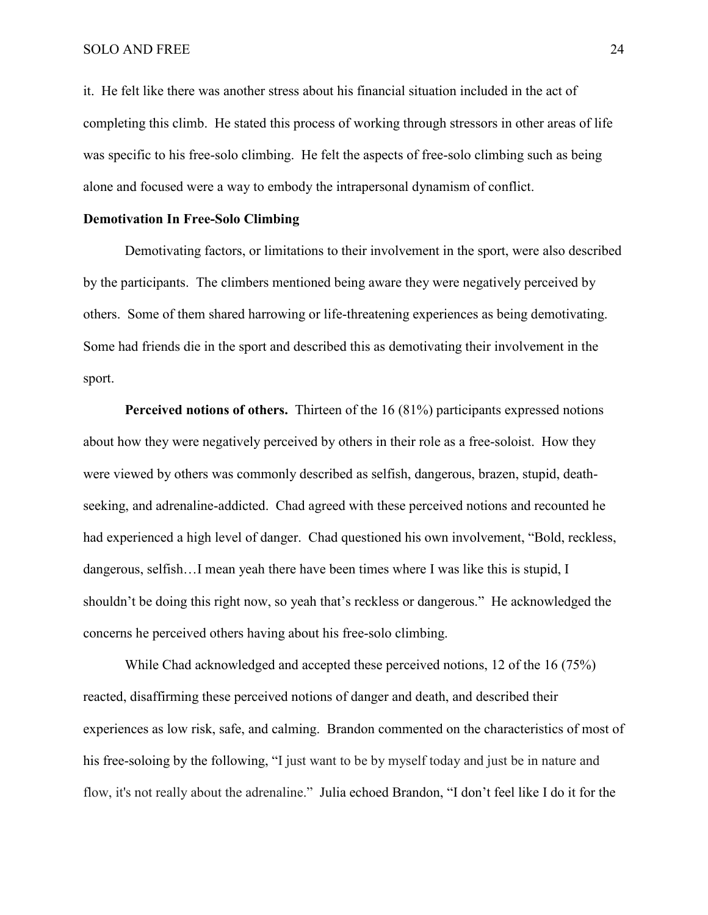it. He felt like there was another stress about his financial situation included in the act of completing this climb. He stated this process of working through stressors in other areas of life was specific to his free-solo climbing. He felt the aspects of free-solo climbing such as being alone and focused were a way to embody the intrapersonal dynamism of conflict.

# **Demotivation In Free-Solo Climbing**

Demotivating factors, or limitations to their involvement in the sport, were also described by the participants. The climbers mentioned being aware they were negatively perceived by others. Some of them shared harrowing or life-threatening experiences as being demotivating. Some had friends die in the sport and described this as demotivating their involvement in the sport.

**Perceived notions of others.** Thirteen of the 16 (81%) participants expressed notions about how they were negatively perceived by others in their role as a free-soloist. How they were viewed by others was commonly described as selfish, dangerous, brazen, stupid, deathseeking, and adrenaline-addicted. Chad agreed with these perceived notions and recounted he had experienced a high level of danger. Chad questioned his own involvement, "Bold, reckless, dangerous, selfish…I mean yeah there have been times where I was like this is stupid, I shouldn't be doing this right now, so yeah that's reckless or dangerous." He acknowledged the concerns he perceived others having about his free-solo climbing.

While Chad acknowledged and accepted these perceived notions, 12 of the 16 (75%) reacted, disaffirming these perceived notions of danger and death, and described their experiences as low risk, safe, and calming. Brandon commented on the characteristics of most of his free-soloing by the following, "I just want to be by myself today and just be in nature and flow, it's not really about the adrenaline." Julia echoed Brandon, "I don't feel like I do it for the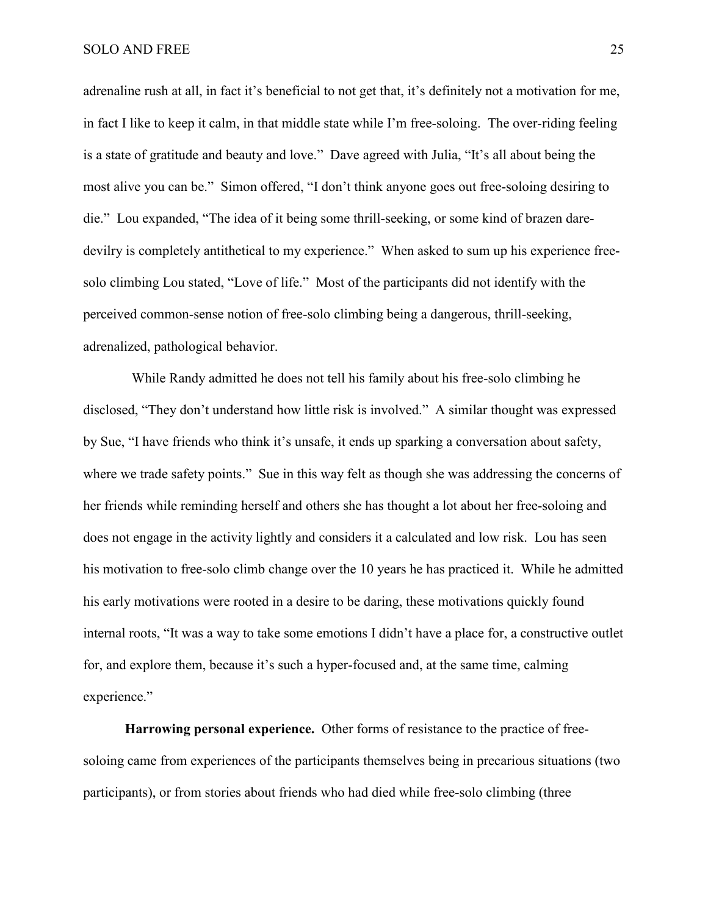adrenaline rush at all, in fact it's beneficial to not get that, it's definitely not a motivation for me, in fact I like to keep it calm, in that middle state while I'm free-soloing. The over-riding feeling is a state of gratitude and beauty and love." Dave agreed with Julia, "It's all about being the most alive you can be." Simon offered, "I don't think anyone goes out free-soloing desiring to die." Lou expanded, "The idea of it being some thrill-seeking, or some kind of brazen daredevilry is completely antithetical to my experience." When asked to sum up his experience freesolo climbing Lou stated, "Love of life." Most of the participants did not identify with the perceived common-sense notion of free-solo climbing being a dangerous, thrill-seeking, adrenalized, pathological behavior.

While Randy admitted he does not tell his family about his free-solo climbing he disclosed, "They don't understand how little risk is involved." A similar thought was expressed by Sue, "I have friends who think it's unsafe, it ends up sparking a conversation about safety, where we trade safety points." Sue in this way felt as though she was addressing the concerns of her friends while reminding herself and others she has thought a lot about her free-soloing and does not engage in the activity lightly and considers it a calculated and low risk. Lou has seen his motivation to free-solo climb change over the 10 years he has practiced it. While he admitted his early motivations were rooted in a desire to be daring, these motivations quickly found internal roots, "It was a way to take some emotions I didn't have a place for, a constructive outlet for, and explore them, because it's such a hyper-focused and, at the same time, calming experience."

**Harrowing personal experience.** Other forms of resistance to the practice of freesoloing came from experiences of the participants themselves being in precarious situations (two participants), or from stories about friends who had died while free-solo climbing (three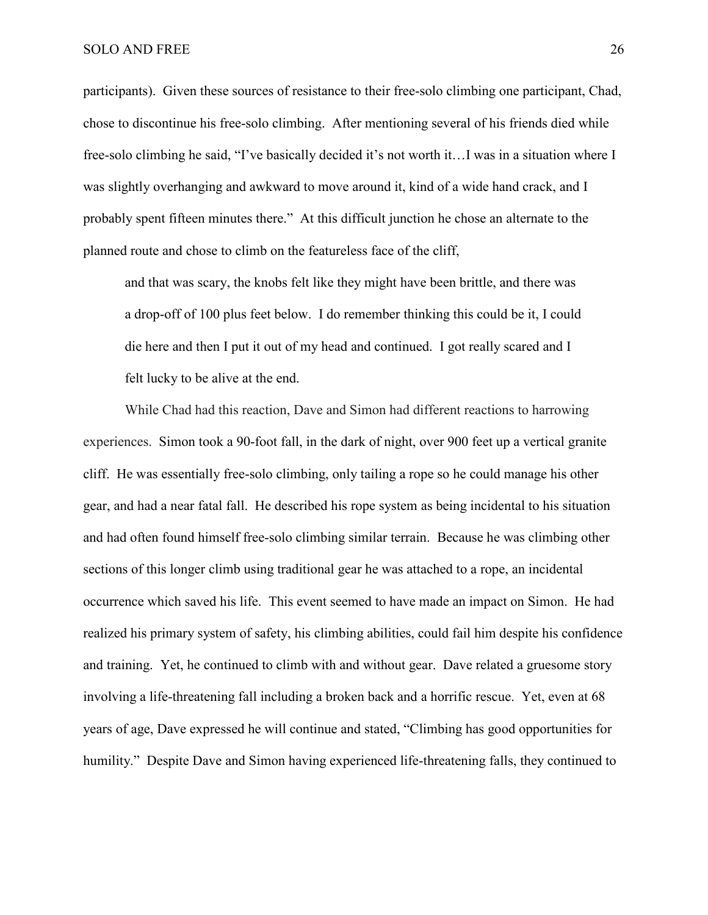participants). Given these sources of resistance to their free-solo climbing one participant, Chad, chose to discontinue his free-solo climbing. After mentioning several of his friends died while free-solo climbing he said, "I've basically decided it's not worth it…I was in a situation where I was slightly overhanging and awkward to move around it, kind of a wide hand crack, and I probably spent fifteen minutes there." At this difficult junction he chose an alternate to the planned route and chose to climb on the featureless face of the cliff,

and that was scary, the knobs felt like they might have been brittle, and there was a drop-off of 100 plus feet below. I do remember thinking this could be it, I could die here and then I put it out of my head and continued. I got really scared and I felt lucky to be alive at the end.

While Chad had this reaction, Dave and Simon had different reactions to harrowing experiences. Simon took a 90-foot fall, in the dark of night, over 900 feet up a vertical granite cliff. He was essentially free-solo climbing, only tailing a rope so he could manage his other gear, and had a near fatal fall. He described his rope system as being incidental to his situation and had often found himself free-solo climbing similar terrain. Because he was climbing other sections of this longer climb using traditional gear he was attached to a rope, an incidental occurrence which saved his life. This event seemed to have made an impact on Simon. He had realized his primary system of safety, his climbing abilities, could fail him despite his confidence and training. Yet, he continued to climb with and without gear. Dave related a gruesome story involving a life-threatening fall including a broken back and a horrific rescue. Yet, even at 68 years of age, Dave expressed he will continue and stated, "Climbing has good opportunities for humility." Despite Dave and Simon having experienced life-threatening falls, they continued to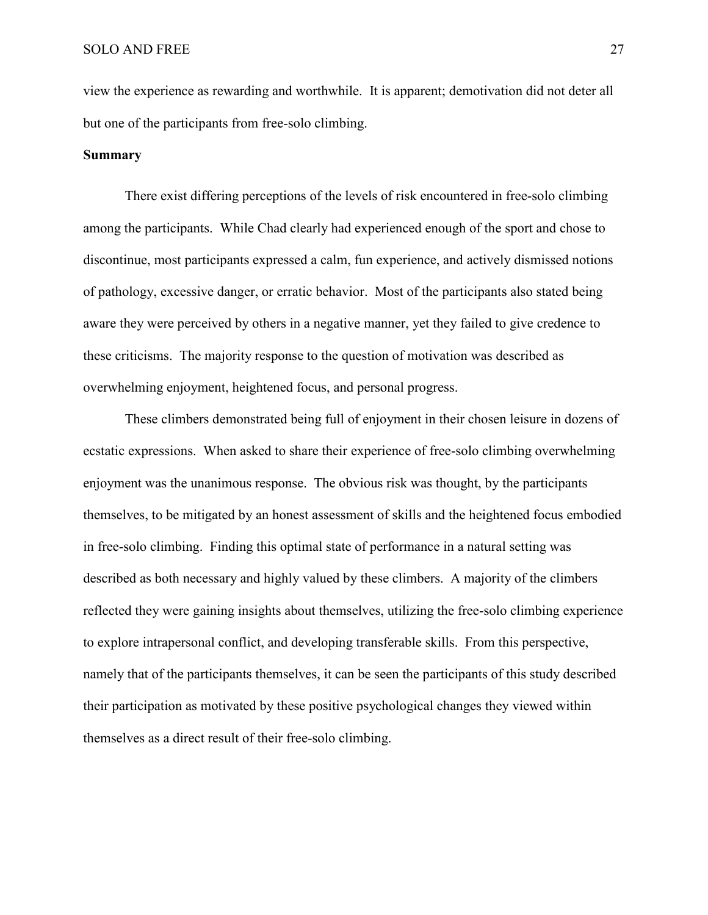view the experience as rewarding and worthwhile. It is apparent; demotivation did not deter all but one of the participants from free-solo climbing.

# **Summary**

There exist differing perceptions of the levels of risk encountered in free-solo climbing among the participants. While Chad clearly had experienced enough of the sport and chose to discontinue, most participants expressed a calm, fun experience, and actively dismissed notions of pathology, excessive danger, or erratic behavior. Most of the participants also stated being aware they were perceived by others in a negative manner, yet they failed to give credence to these criticisms. The majority response to the question of motivation was described as overwhelming enjoyment, heightened focus, and personal progress.

These climbers demonstrated being full of enjoyment in their chosen leisure in dozens of ecstatic expressions. When asked to share their experience of free-solo climbing overwhelming enjoyment was the unanimous response. The obvious risk was thought, by the participants themselves, to be mitigated by an honest assessment of skills and the heightened focus embodied in free-solo climbing. Finding this optimal state of performance in a natural setting was described as both necessary and highly valued by these climbers. A majority of the climbers reflected they were gaining insights about themselves, utilizing the free-solo climbing experience to explore intrapersonal conflict, and developing transferable skills. From this perspective, namely that of the participants themselves, it can be seen the participants of this study described their participation as motivated by these positive psychological changes they viewed within themselves as a direct result of their free-solo climbing.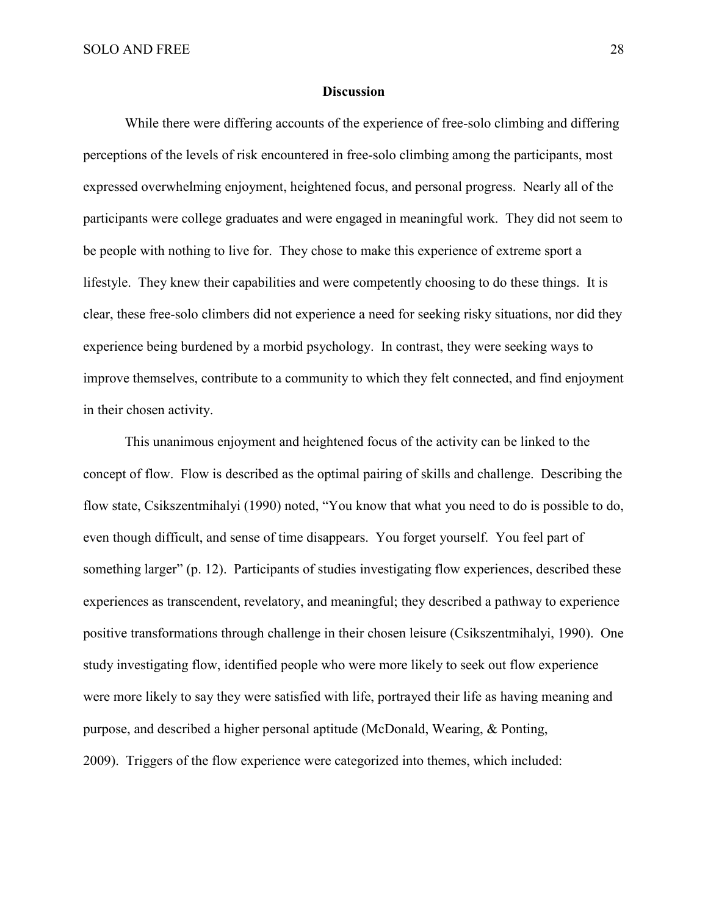## **Discussion**

While there were differing accounts of the experience of free-solo climbing and differing perceptions of the levels of risk encountered in free-solo climbing among the participants, most expressed overwhelming enjoyment, heightened focus, and personal progress. Nearly all of the participants were college graduates and were engaged in meaningful work. They did not seem to be people with nothing to live for. They chose to make this experience of extreme sport a lifestyle. They knew their capabilities and were competently choosing to do these things. It is clear, these free-solo climbers did not experience a need for seeking risky situations, nor did they experience being burdened by a morbid psychology. In contrast, they were seeking ways to improve themselves, contribute to a community to which they felt connected, and find enjoyment in their chosen activity.

This unanimous enjoyment and heightened focus of the activity can be linked to the concept of flow. Flow is described as the optimal pairing of skills and challenge. Describing the flow state, Csikszentmihalyi (1990) noted, "You know that what you need to do is possible to do, even though difficult, and sense of time disappears. You forget yourself. You feel part of something larger" (p. 12). Participants of studies investigating flow experiences, described these experiences as transcendent, revelatory, and meaningful; they described a pathway to experience positive transformations through challenge in their chosen leisure (Csikszentmihalyi, 1990). One study investigating flow, identified people who were more likely to seek out flow experience were more likely to say they were satisfied with life, portrayed their life as having meaning and purpose, and described a higher personal aptitude (McDonald, Wearing, & Ponting, 2009). Triggers of the flow experience were categorized into themes, which included: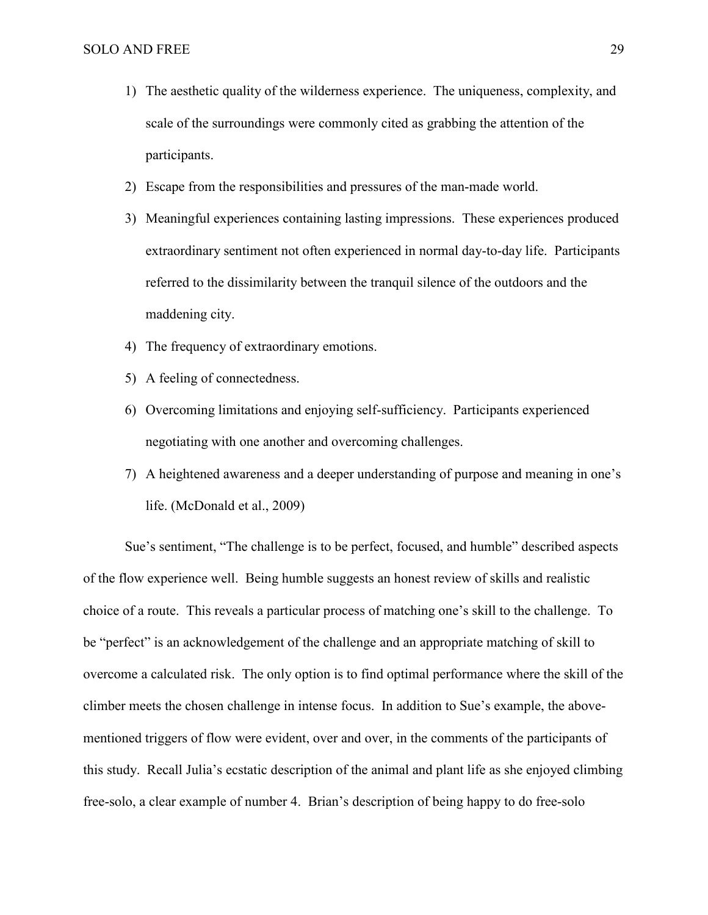- 1) The aesthetic quality of the wilderness experience. The uniqueness, complexity, and scale of the surroundings were commonly cited as grabbing the attention of the participants.
- 2) Escape from the responsibilities and pressures of the man-made world.
- 3) Meaningful experiences containing lasting impressions. These experiences produced extraordinary sentiment not often experienced in normal day-to-day life. Participants referred to the dissimilarity between the tranquil silence of the outdoors and the maddening city.
- 4) The frequency of extraordinary emotions.
- 5) A feeling of connectedness.
- 6) Overcoming limitations and enjoying self-sufficiency. Participants experienced negotiating with one another and overcoming challenges.
- 7) A heightened awareness and a deeper understanding of purpose and meaning in one's life. (McDonald et al., 2009)

Sue's sentiment, "The challenge is to be perfect, focused, and humble" described aspects of the flow experience well. Being humble suggests an honest review of skills and realistic choice of a route. This reveals a particular process of matching one's skill to the challenge. To be "perfect" is an acknowledgement of the challenge and an appropriate matching of skill to overcome a calculated risk. The only option is to find optimal performance where the skill of the climber meets the chosen challenge in intense focus. In addition to Sue's example, the abovementioned triggers of flow were evident, over and over, in the comments of the participants of this study. Recall Julia's ecstatic description of the animal and plant life as she enjoyed climbing free-solo, a clear example of number 4. Brian's description of being happy to do free-solo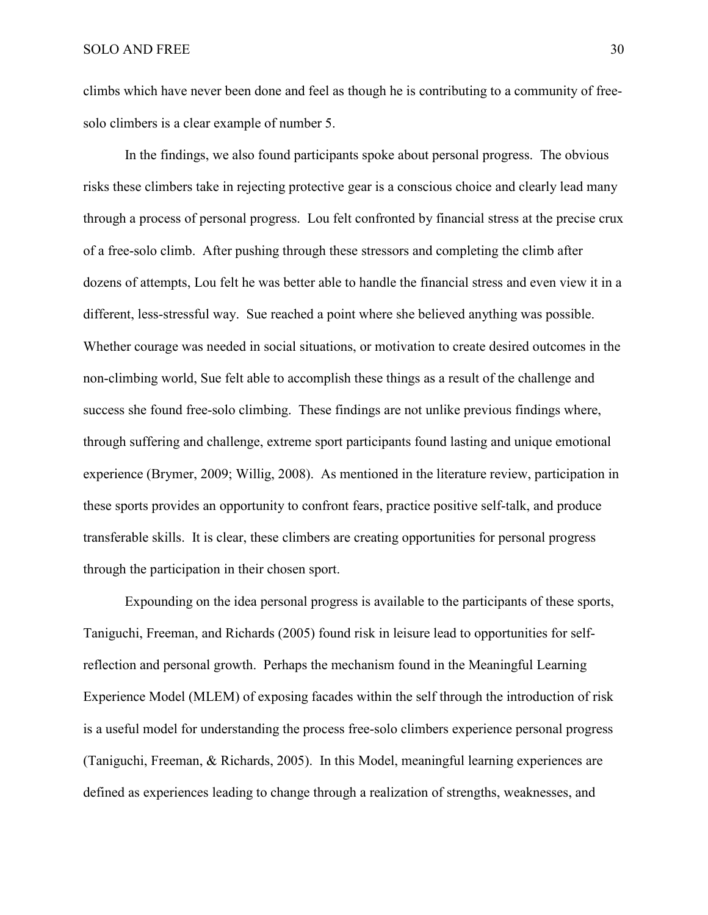climbs which have never been done and feel as though he is contributing to a community of freesolo climbers is a clear example of number 5.

In the findings, we also found participants spoke about personal progress. The obvious risks these climbers take in rejecting protective gear is a conscious choice and clearly lead many through a process of personal progress. Lou felt confronted by financial stress at the precise crux of a free-solo climb. After pushing through these stressors and completing the climb after dozens of attempts, Lou felt he was better able to handle the financial stress and even view it in a different, less-stressful way. Sue reached a point where she believed anything was possible. Whether courage was needed in social situations, or motivation to create desired outcomes in the non-climbing world, Sue felt able to accomplish these things as a result of the challenge and success she found free-solo climbing. These findings are not unlike previous findings where, through suffering and challenge, extreme sport participants found lasting and unique emotional experience (Brymer, 2009; Willig, 2008). As mentioned in the literature review, participation in these sports provides an opportunity to confront fears, practice positive self-talk, and produce transferable skills. It is clear, these climbers are creating opportunities for personal progress through the participation in their chosen sport.

Expounding on the idea personal progress is available to the participants of these sports, Taniguchi, Freeman, and Richards (2005) found risk in leisure lead to opportunities for selfreflection and personal growth. Perhaps the mechanism found in the Meaningful Learning Experience Model (MLEM) of exposing facades within the self through the introduction of risk is a useful model for understanding the process free-solo climbers experience personal progress (Taniguchi, Freeman, & Richards, 2005). In this Model, meaningful learning experiences are defined as experiences leading to change through a realization of strengths, weaknesses, and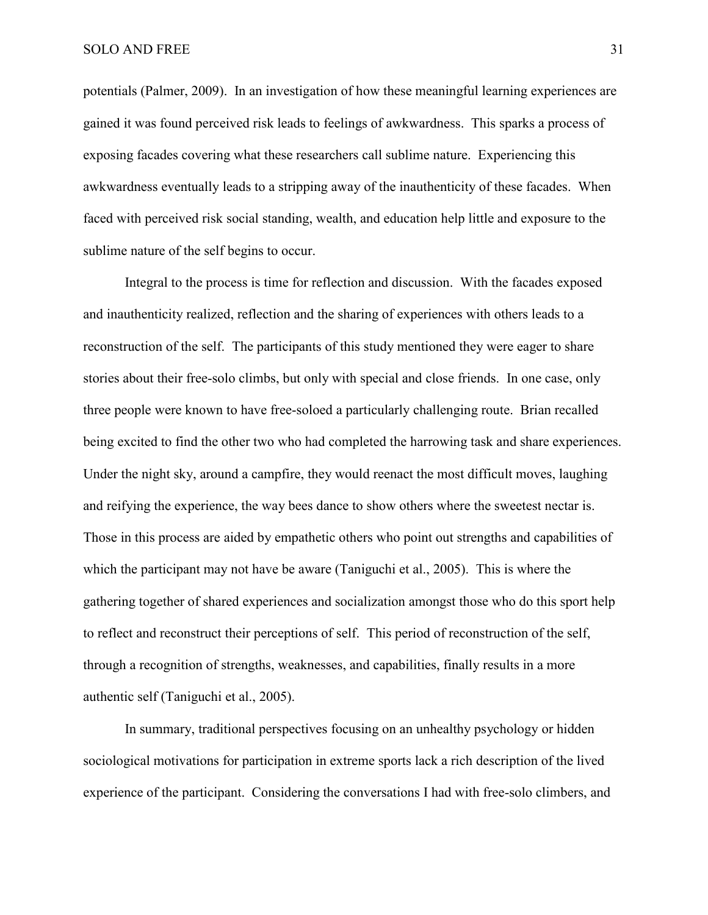potentials (Palmer, 2009). In an investigation of how these meaningful learning experiences are gained it was found perceived risk leads to feelings of awkwardness. This sparks a process of exposing facades covering what these researchers call sublime nature. Experiencing this awkwardness eventually leads to a stripping away of the inauthenticity of these facades. When faced with perceived risk social standing, wealth, and education help little and exposure to the sublime nature of the self begins to occur.

Integral to the process is time for reflection and discussion. With the facades exposed and inauthenticity realized, reflection and the sharing of experiences with others leads to a reconstruction of the self. The participants of this study mentioned they were eager to share stories about their free-solo climbs, but only with special and close friends. In one case, only three people were known to have free-soloed a particularly challenging route. Brian recalled being excited to find the other two who had completed the harrowing task and share experiences. Under the night sky, around a campfire, they would reenact the most difficult moves, laughing and reifying the experience, the way bees dance to show others where the sweetest nectar is. Those in this process are aided by empathetic others who point out strengths and capabilities of which the participant may not have be aware (Taniguchi et al., 2005). This is where the gathering together of shared experiences and socialization amongst those who do this sport help to reflect and reconstruct their perceptions of self. This period of reconstruction of the self, through a recognition of strengths, weaknesses, and capabilities, finally results in a more authentic self (Taniguchi et al., 2005).

In summary, traditional perspectives focusing on an unhealthy psychology or hidden sociological motivations for participation in extreme sports lack a rich description of the lived experience of the participant. Considering the conversations I had with free-solo climbers, and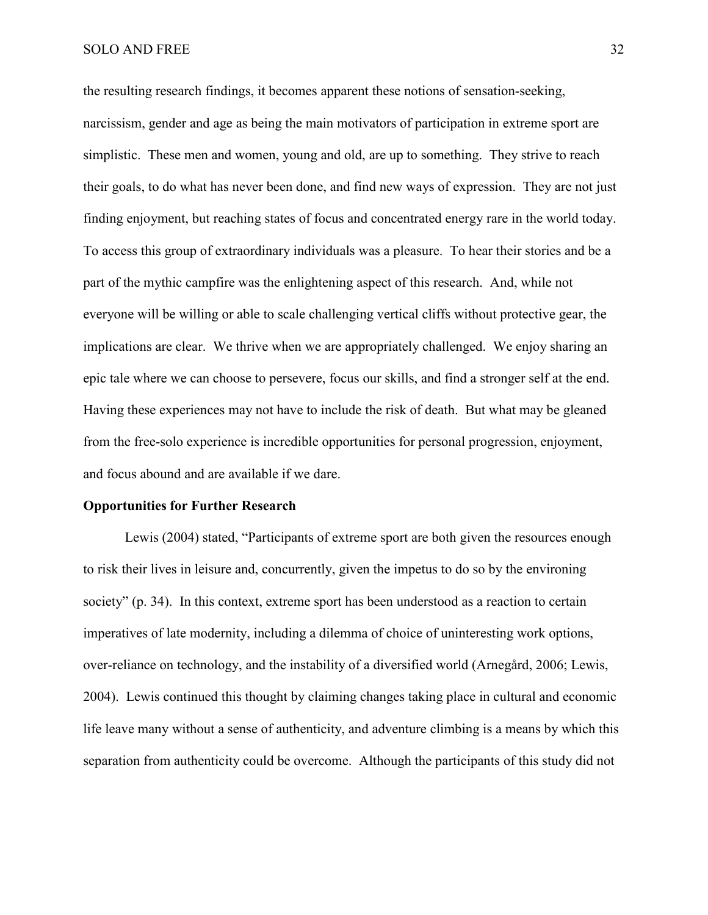## SOLO AND FREE 32

the resulting research findings, it becomes apparent these notions of sensation-seeking, narcissism, gender and age as being the main motivators of participation in extreme sport are simplistic. These men and women, young and old, are up to something. They strive to reach their goals, to do what has never been done, and find new ways of expression. They are not just finding enjoyment, but reaching states of focus and concentrated energy rare in the world today. To access this group of extraordinary individuals was a pleasure. To hear their stories and be a part of the mythic campfire was the enlightening aspect of this research. And, while not everyone will be willing or able to scale challenging vertical cliffs without protective gear, the implications are clear. We thrive when we are appropriately challenged. We enjoy sharing an epic tale where we can choose to persevere, focus our skills, and find a stronger self at the end. Having these experiences may not have to include the risk of death. But what may be gleaned from the free-solo experience is incredible opportunities for personal progression, enjoyment, and focus abound and are available if we dare.

## **Opportunities for Further Research**

Lewis (2004) stated, "Participants of extreme sport are both given the resources enough to risk their lives in leisure and, concurrently, given the impetus to do so by the environing society" (p. 34). In this context, extreme sport has been understood as a reaction to certain imperatives of late modernity, including a dilemma of choice of uninteresting work options, over-reliance on technology, and the instability of a diversified world (Arnegård, 2006; Lewis, 2004). Lewis continued this thought by claiming changes taking place in cultural and economic life leave many without a sense of authenticity, and adventure climbing is a means by which this separation from authenticity could be overcome. Although the participants of this study did not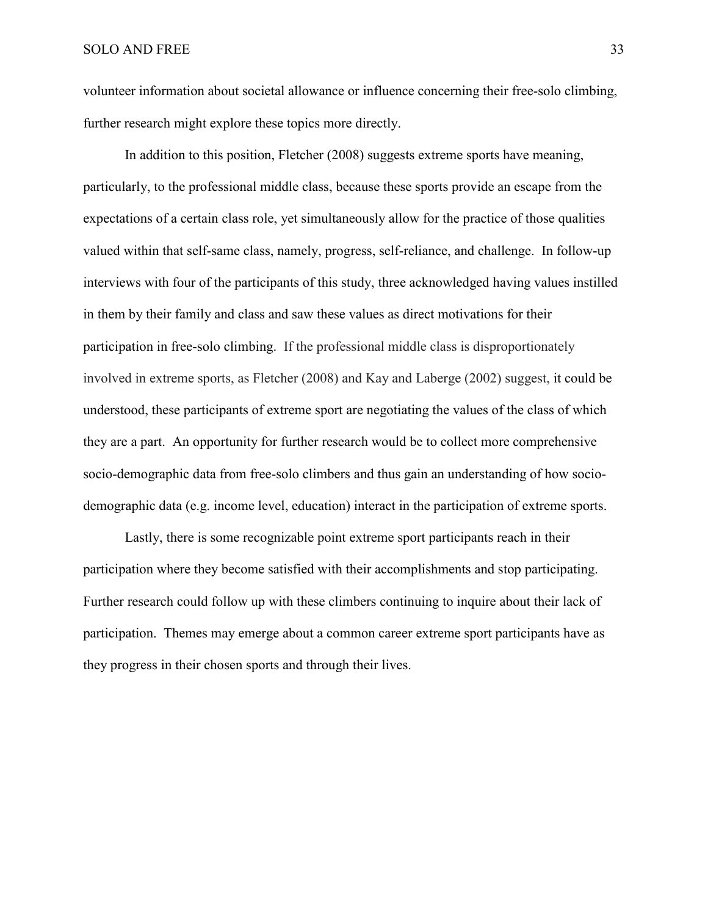volunteer information about societal allowance or influence concerning their free-solo climbing, further research might explore these topics more directly.

In addition to this position, Fletcher (2008) suggests extreme sports have meaning, particularly, to the professional middle class, because these sports provide an escape from the expectations of a certain class role, yet simultaneously allow for the practice of those qualities valued within that self-same class, namely, progress, self-reliance, and challenge. In follow-up interviews with four of the participants of this study, three acknowledged having values instilled in them by their family and class and saw these values as direct motivations for their participation in free-solo climbing. If the professional middle class is disproportionately involved in extreme sports, as Fletcher (2008) and Kay and Laberge (2002) suggest, it could be understood, these participants of extreme sport are negotiating the values of the class of which they are a part. An opportunity for further research would be to collect more comprehensive socio-demographic data from free-solo climbers and thus gain an understanding of how sociodemographic data (e.g. income level, education) interact in the participation of extreme sports.

Lastly, there is some recognizable point extreme sport participants reach in their participation where they become satisfied with their accomplishments and stop participating. Further research could follow up with these climbers continuing to inquire about their lack of participation. Themes may emerge about a common career extreme sport participants have as they progress in their chosen sports and through their lives.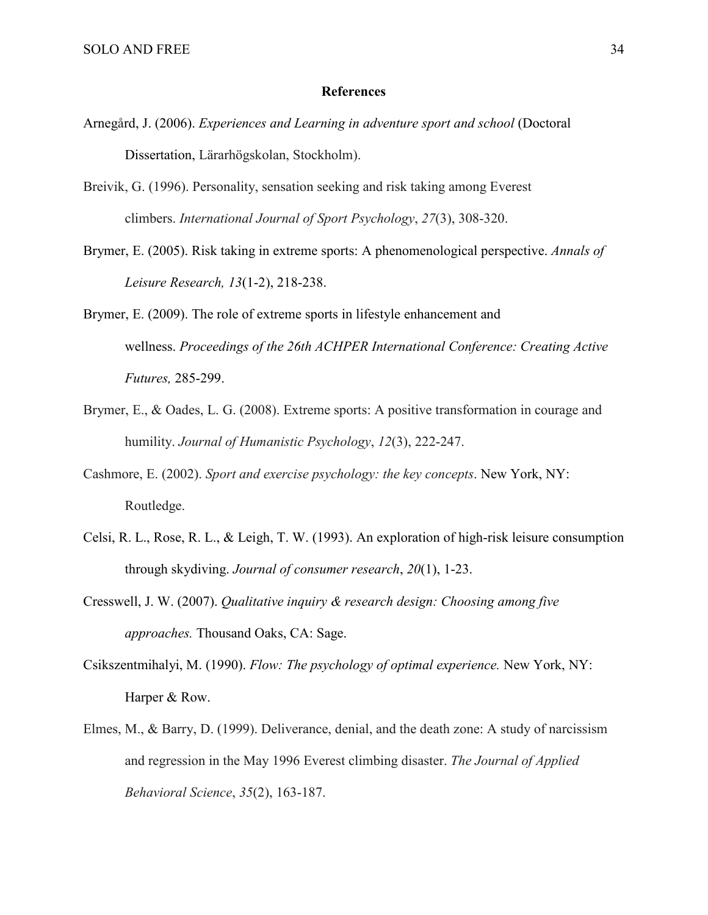## **References**

- Arnegård, J. (2006). *Experiences and Learning in adventure sport and school* (Doctoral Dissertation, Lärarhögskolan, Stockholm).
- Breivik, G. (1996). Personality, sensation seeking and risk taking among Everest climbers. *International Journal of Sport Psychology*, *27*(3), 308-320.
- Brymer, E. (2005). Risk taking in extreme sports: A phenomenological perspective. *Annals of Leisure Research, 13*(1-2), 218-238.
- Brymer, E. (2009). The role of extreme sports in lifestyle enhancement and wellness. *Proceedings of the 26th ACHPER International Conference: Creating Active Futures,* 285-299.
- Brymer, E., & Oades, L. G. (2008). Extreme sports: A positive transformation in courage and humility. *Journal of Humanistic Psychology*, *12*(3), 222-247.
- Cashmore, E. (2002). *Sport and exercise psychology: the key concepts*. New York, NY: Routledge.
- Celsi, R. L., Rose, R. L., & Leigh, T. W. (1993). An exploration of high-risk leisure consumption through skydiving. *Journal of consumer research*, *20*(1), 1-23.
- Cresswell, J. W. (2007). *Qualitative inquiry & research design: Choosing among five approaches.* Thousand Oaks, CA: Sage.
- Csikszentmihalyi, M. (1990). *Flow: The psychology of optimal experience*. New York, NY: Harper & Row.
- Elmes, M., & Barry, D. (1999). Deliverance, denial, and the death zone: A study of narcissism and regression in the May 1996 Everest climbing disaster. *The Journal of Applied Behavioral Science*, *35*(2), 163-187.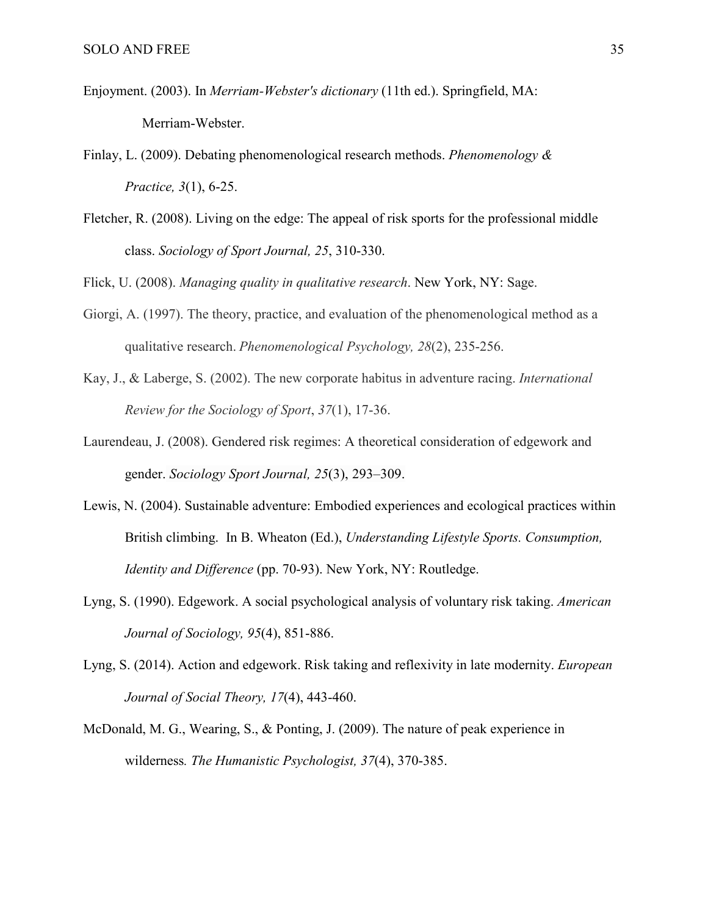- Enjoyment. (2003). In *Merriam-Webster's dictionary* (11th ed.). Springfield, MA: Merriam-Webster.
- Finlay, L. (2009). Debating phenomenological research methods. *Phenomenology & Practice, 3*(1), 6-25.
- Fletcher, R. (2008). Living on the edge: The appeal of risk sports for the professional middle class. *Sociology of Sport Journal, 25*, 310-330.

Flick, U. (2008). *Managing quality in qualitative research*. New York, NY: Sage.

- Giorgi, A. (1997). The theory, practice, and evaluation of the phenomenological method as a qualitative research. *Phenomenological Psychology, 28*(2), 235-256.
- Kay, J., & Laberge, S. (2002). The new corporate habitus in adventure racing. *International Review for the Sociology of Sport*, *37*(1), 17-36.
- Laurendeau, J. (2008). Gendered risk regimes: A theoretical consideration of edgework and gender. *Sociology Sport Journal, 25*(3), 293–309.
- Lewis, N. (2004). Sustainable adventure: Embodied experiences and ecological practices within British climbing. In B. Wheaton (Ed.), *Understanding Lifestyle Sports. Consumption, Identity and Difference* (pp. 70-93). New York, NY: Routledge.
- Lyng, S. (1990). Edgework. A social psychological analysis of voluntary risk taking. *American Journal of Sociology, 95*(4), 851-886.
- Lyng, S. (2014). Action and edgework. Risk taking and reflexivity in late modernity. *European Journal of Social Theory, 17*(4), 443-460.
- McDonald, M. G., Wearing, S., & Ponting, J. (2009). [The nature of peak experience in](http://www.tandfonline.com/doi/abs/10.1080/08873260701828912)  [wilderness](http://www.tandfonline.com/doi/abs/10.1080/08873260701828912)*. [The Humanistic Psychologist,](http://www.tandfonline.com/toc/hthp20/37/4) 37*(4), 370-385.